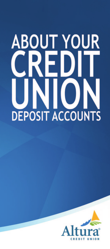# **ABOUT YOUR** F **O** DEPOSIT ACCOUNTS

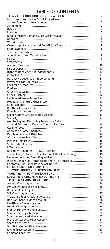# **TABLE OF CONTENTS**

| Important Information About Procedures                   |  |
|----------------------------------------------------------|--|
|                                                          |  |
|                                                          |  |
|                                                          |  |
|                                                          |  |
|                                                          |  |
|                                                          |  |
| Ownership of Account and Beneficiary Designation 8       |  |
|                                                          |  |
|                                                          |  |
|                                                          |  |
|                                                          |  |
|                                                          |  |
|                                                          |  |
|                                                          |  |
|                                                          |  |
|                                                          |  |
|                                                          |  |
|                                                          |  |
|                                                          |  |
|                                                          |  |
|                                                          |  |
|                                                          |  |
|                                                          |  |
|                                                          |  |
|                                                          |  |
|                                                          |  |
|                                                          |  |
| Monitoring and Recording Telephone Calls                 |  |
|                                                          |  |
|                                                          |  |
|                                                          |  |
|                                                          |  |
|                                                          |  |
|                                                          |  |
|                                                          |  |
|                                                          |  |
| Truncation, Substitute Checks, and Other Check Images 15 |  |
|                                                          |  |
| International ACH Transactions and Wire Transfers16      |  |
|                                                          |  |
| <b>ELECTRONIC FUND TRANSFERS</b>                         |  |
|                                                          |  |
|                                                          |  |
|                                                          |  |
|                                                          |  |
|                                                          |  |
|                                                          |  |
|                                                          |  |
|                                                          |  |
|                                                          |  |
|                                                          |  |
|                                                          |  |
|                                                          |  |
|                                                          |  |
|                                                          |  |
|                                                          |  |
|                                                          |  |
|                                                          |  |
| $\ldots$ 35                                              |  |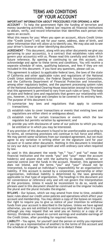# **TERMS AND CONDITIONS OF YOUR ACCOUNT**

<span id="page-2-0"></span>**IMPORTANT INFORMATION ABOUT PROCEDURES FOR OPENING A NEW ACCOUNT -** To help the government fight the funding of terrorism and money laundering activities, federal law requires all financial institutions to obtain, verify, and record information that identifies each person who opens an account.

What this means for you: When you open an account, Altura Credit Union (the "Credit Union") will ask for your name, address, date of birth, and other information that will allow us to identify you. We may also ask to see your driver's license or other identifying documents.

**AGREEMENT -** This document, along with any other documents we give you pertaining to your account(s), is a contract that establishes rules which govern your account(s) with us. Please read this carefully and retain it for future reference. By opening or continuing to use this account, you acknowledge and agree to these terms and conditions. You will receive a separate schedule of rates, qualifying balances, and fees if they are not included in this document. If you have any questions, please call us.

This agreement is subject to applicable federal laws, the laws of the state of California and other applicable rules and regulations of the National Credit Union Administration, the Federal Deposit Insurance Corporation, and the California Department of Financial Protection and Innovation, among other regulatory bodies, and the payment processing system rules of the National Automated Clearing House Association (except to the extent that this agreement is permitted to vary from such rules or laws). The body of state and federal laws and regulations that govern our relationship with you, however, is too large and complex to be covered in its entirety here. The purpose of this document is to:

- (1) summarize key laws and regulations that apply to common transactions;
- (2) establish rules to cover transactions or events that existing laws and regulations are either silent or ambiguous about;
- (3) establish rules for certain transactions or events which the law regulates but permits variation by agreement; and
- (4) provide you with disclosures of some of our policies to which you may be entitled or in which you may be interested.

If any provision of this document is found to be unenforceable according to its terms, all remaining provisions will continue in full force and effect. We may permit some variations from our standard agreement, but we must agree to any variation in writing either on the signature card for your account or in some other document. Nothing in this document is intended to vary our duty to act in good faith and with ordinary care when required by law.

As used in this document the words "we," "our," and "us" mean the financial institution and the words "you" and "your" mean the account holder(s) and anyone else with the authority to deposit, withdraw, or exercise control over the funds in the account. However, this agreement does not intend, and the terms "you" and "your" should not be interpreted, to expand an individual's responsibility for an organization's liability. If this account is owned by a corporation, partnership or other organization, individual liability is determined by the laws generally applicable to that type of organization. The headings in this document are for convenience or reference only and will not govern the interpretation of the provisions. Unless it would be inconsistent to do so, words and phrases used in this document should be construed so the singular includes the plural and the plural includes the singular.

**BYLAWS -** Our bylaws, which we may amend from time to time, establish basic rules about our credit union policies and operations which affect your account and membership. You may obtain a copy of the bylaws on request. Our right to require you to give us notice of your intention to withdraw funds from your account is described in the bylaws. Unless we have agreed otherwise, you are not entitled to receive any original item after it is paid, although you may request that we send you an item(s) or a copy of an item(s). Dividends are based on current earnings and available earnings of the Credit Union, after providing for required reserves.

**LIABILITY -** You agree, for yourself (and the person or entity you represent if you sign as a representative of another) to the terms of this account and the schedule of charges. You authorize us to deduct these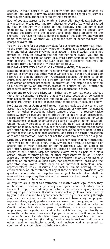charges, without notice to you, directly from the account balance as accrued. You agree to pay any additional reasonable charges for services you request which are not covered by this agreement.

Each of you also agrees to be jointly and severally (individually) liable for any account shortage resulting from charges or overdrafts, whether caused by you or another with access to this account. This liability is due immediately, and the Credit Union will be permitted to deduct any amounts deposited into the account and apply those amounts to the shortage. You have no right to defer payment of this liability, and you are liable regardless of whether you signed the item or benefited from the charge or overdraft.

You will be liable for our costs as well as for our reasonable attorneys' fees, to the extent permitted by law, whether incurred as a result of collection or in any other dispute involving your account. This includes, but is not limited to, disputes between you and another joint owner; you and an authorized signer or similar party; or a third party claiming an interest in your account. You agree that such costs and attorneys' deducted from your account, without notice to you.

**BINDING ARBITRATION AND CLASS ACTION WAIVER:** This section

contains important information regarding your accounts and all related services. It provides that either you or we can require that any disputes be resolved by binding arbitration. Arbitration replaces the right to go to court, including the right to a jury trial and the right to participate in a class action or similar proceeding. In arbitration, the dispute is submitted to a neutral party, an arbitrator, instead of a judge or jury. Arbitration procedures may be more limited than rules applicable in court.

**Agreement to Arbitrate Disputes -** Either you or we may elect, without the other's consent, to require that any dispute between us concerning your accounts and the services related to your accounts be resolved by binding arbitration, except for those disputes specifically excluded below. **No Class Action or Joinder of Parties -** You acknowledge that you and we agree that no class action, class-wide arbitration, private attorney general action, or other proceeding where someone acts in a representative

capacity, may be pursued in any arbitration or in any court proceeding, regardless of when the claim or cause of action arose or accrued, or when the allegations or facts underlying the claim or cause of action occurred. Unless mutually agreed to by you and us, claims of two or more persons may not be joined, consolidated, or otherwise brought together in the same arbitration (unless those persons are joint account holders or beneficiaries on your account and/or related accounts, or parties to a single transaction or related transaction), whether or not the claim may have been assigned.

**Disputes Covered by Arbitration -** You acknowledge that in arbitration, there will be no right to a jury trial. Any claim or dispute relating to or arising out of your accounts or our relationship will be subject to arbitration, regardless of whether that dispute arose before or after your receipt of this notice. Disputes include claims made as part of a class action, private attorney general or other representative action, it being expressly understood and agreed to that the arbitration of such claims must proceed on an individual (non-class, non-representative) basis and the arbitrator may award relief only on an individual (non-class, non-representative) basis. Disputes also include claims relating to the enforceability or interpretation of any of these arbitration provisions. Any questions about whether disputes are subject to arbitration shall be resolved by interpreting this arbitration provision in the broadest way the law will allow it to be enforced.

All disputes are subject to arbitration, no matter what legal theory they are based on, or what remedy (damages, or injunctive or declaratory relief) they seek. Disputes include any unresolved claims concerning any services relating to your accounts. Disputes include not only claims made directly by you, but also made by anyone connected with you or claiming through you, such as a joint account holder, account beneficiary, employee, representative, agent, predecessor or successor, heir, assignee, or trustee in bankruptcy. Disputes include not only claims that relate directly to the Credit Union, but also its parent, affiliates, successors, assignees, employees, and agents, and claims for which we may be directly or indirectly liable, even if we are not properly named at the time the claim is made. Disputes include claims based on any theory of law, contract, statute, regulation, tort (including fraud or any intentional tort), or any other legal or equitable ground, and include claims asserted as counterclaims, cross-claims, third-party claims,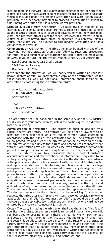interpleaders or otherwise; and claims made independently or with other claims. If a party initiates a proceeding in court regarding a claim or dispute which is included under this Binding Arbitration and Class Action Waiver provision, the other party may elect to proceed in arbitration pursuant to this Binding Arbitration and Class Action Waiver provision.

**Disputes Excluded from Arbitration -** Disputes filed by you or by us individually in a small claims court are not subject to arbitration, so long as the disputes remain in such court and advance only an individual (nonclass, non-representative) claim for relief. However, if a matter in small claims court is removed, transferred, or appealed to a non-small claims court, that claim shall be subject to this Binding Arbitration and Class Action Waiver provision.

**Commencing an Arbitration -** The arbitration must be filed with one of the following neutral arbitration forums and follow its rules and procedures for initiating and pursuing an arbitration: American Arbitration Association or JAMS. If you initiate the arbitration, you must notify us in writing at:

Legal Department, Altura Credit Union

2847 Campus Parkway Riverside, CA 92507

If we initiate the arbitration, we will notify you in writing at your last known address on file. You may obtain a copy of the arbitration rules for these forums, as well as additional information about initiating an arbitration by contacting these arbitration forums:

American Arbitration Association 1-800-778-7879 (toll-free) [www.adr.org](http://www.adr.org/)

JAMS 1-800-352-5267 (toll-free) [www.jamsadr.com](http://www.jamsadr.com/)

The arbitration shall be conducted in the same city as the U.S. District Court closest to your home address, unless the parties agree to a different location in writing.

**Administration of Arbitration -** The arbitration shall be decided by a single, neutral arbitrator. The arbitrator will be either a lawyer with at least ten years experience or a retired or former judge selected in accordance with the rules of the arbitration forum. The arbitrator shall follow procedures and rules of the arbitration forum in effect on the date the arbitration is filed unless those rules and procedures are inconsistent with this arbitration provision, in which case this arbitration provision will prevail. Those provisions and rules may limit the discovery available to you or us. The arbitrator will take reasonable steps to protect customer account information and other confidential information if requested to do so by you or by us. The arbitrator shall decide the dispute in accordance with applicable substantive law consistent with the Federal Arbitration Act and applicable statutes of limitations, will honor claims of privilege recognized at law, and will be empowered to award any damages or other relief provided for under applicable law. The arbitrator will not have the power to award relief to, or against, any person who is not a party to the arbitration. An award in arbitration shall determine the rights and obligations between the named parties only, and only in respect of the claims in arbitration, and shall not have any bearing on the rights and obligations of any other person, or on the resolution of any other dispute. You or we may choose to have a hearing and be represented by counsel. The decision rendered by the arbitrator shall be in writing. At your or our request, the Arbitrator shall issue a written, reasoned decision following applicable law and relief granted must be relief that could be granted by the court under applicable law. Judgment on the arbitration award may be entered by any court of competent jurisdiction.

**Costs -** The party initiating the arbitration shall pay the initial filing fee. If you file the arbitration and an award is rendered in your favor, we will reimburse you for your filing fee. If there is a hearing, we will pay the fees and costs of the arbitration for the first day of that hearing. All other fees and costs will be allocated in accordance with the rules of the arbitration forum. However, we will advance or reimburse filing and other fees if the arbitrator rules that you cannot afford to pay them or finds other good cause for requiring us to do so, or if you ask us in writing and we determine there is good reason for doing so. Each party shall bear the expense of their respective attorneys, experts, and witnesses and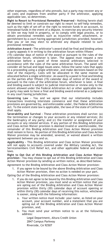other expenses, regardless of who prevails, but a party may recover any or all costs and expenses from another party if the arbitrator, applying applicable law, so determines.

**Right to Resort to Provisional Remedies Preserved -** Nothing herein shall be deemed to limit or constrain our right to resort to self-help remedies, such as the right of set-off or the right to restrain funds in an account, to interplead funds in the event of a dispute, to exercise any security interest or lien we may hold in property, or to comply with legal process, or to obtain provisional remedies such as injunctive relief, attachment, or garnishment by a court having appropriate jurisdiction; provided, however, that you or we may elect to arbitrate any dispute related to such provisional remedies.

**Arbitration Award -** The arbitrator's award shall be final and binding unless a party appeals it in writing to the arbitration forum within fifteen (15) calendar days of notice of the award or pursuant to the rules of the arbitration forum, whichever is later. The appeal must request a new arbitration before a panel of three neutral arbitrators selected in accordance with the rules of the same arbitration forum. The panel will consider all factual and legal issues anew, follow the same rules that apply to a proceeding using a single arbitrator, and make decisions based on the vote of the majority. Costs will be allocated in the same manner as allocated before a single arbitrator. An award by a panel is final and binding on the parties after fifteen (15) calendar days of notice of the award or pursuant to the rules of the arbitration forum, whichever is later. A final and binding award is subject to judicial intervention or review only to the extent allowed under the Federal Arbitration Act or other applicable law. A party may seek to have a final and binding award entered as a judgment in any court having jurisdiction.

**Governing Law -** You and we agree that our relationship includes transactions involving interstate commerce and that these arbitration provisions are governed by, and enforceable under, the Federal Arbitration Act. To the extent state law is applicable, the laws of the state of California shall apply.

**Severability and Survival -** These arbitration provisions shall survive: (a) the termination or changes to your accounts or any related services; (b) the bankruptcy of any party; and (c) the transfer or assignment of your accounts or any related services. If any portion of this Binding Arbitration and Class Action Waiver provision is deemed invalid or unenforceable, the remainder of this Binding Arbitration and Class Action Waiver provision shall remain in force. No portion of this Binding Arbitration and Class Action Waiver provision may be amended, severed, or waived absent a written agreement between you and us.

**Applicability -** This Binding Arbitration and Class Action Waiver provision will not apply to accounts covered under the Military Lending Act, the Servicemembers Civil Relief Act, and other applicable federal and state laws.

**Right to Opt Out of this Binding Arbitration and Class Action Waiver provision -** You may choose to opt out of this Binding Arbitration and Class Action Waiver provision by sending us written notice, as described below.

Agreement to the Binding Arbitration and Class Action Waiver provision: 1. If you agree to be bound by the above Binding Arbitration and Class Action Waiver provision, then no action is needed on your part.

Opting Out of the Binding Arbitration and Class Action Waiver provision:

- 1. If you do not agree to be bound by this Binding Arbitration and Class Action Waiver provision, you must send us written notice that you are opting out of the Binding Arbitration and Class Action Waiver provision within thirty (30) calendar days of account opening or within thirty (30) calendar days of receiving this notice, whichever is sooner, along with the following information:
	- Your written notice must include: your name, as listed on your account, your account number, and a statement that you are opting out of the Binding Arbitration and Class Action Waiver provision, and;
	- b. You must send your written notice to us at the following address:

Legal Department, Altura Credit Union 2847 Campus Parkway Riverside, CA 92507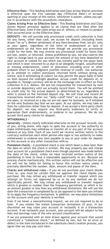**Effective Date -** This Binding Arbitration and Class Action Waiver provision is effective upon the 31st calendar day ("Effective Date") of account opening or your receipt of this notice, whichever is sooner, unless you optout in accordance with the procedures citedabove.

**Claims Arising Prior to Effective Date -** This Binding Arbitration and Class Action Waiver provision applies to all claims that are filed after the Effective Date, even if the claim arises out of, affects, or relates to conduct that occurred prior to the Effective Date.

**DEPOSITS -** We will provide only provisional credit until collection is final for any items, other than cash, we accept for deposit (including items drawn "on us"). Before settlement of any item becomes final, we act only as your agent, regardless of the form of endorsement or lack of endorsement on the item and even though we provide you provisional credit for the item. We may reverse any provisional credit for items that are lost, stolen, or returned. Unless prohibited by law, we also reserve the right to charge back to your account the amount of any item deposited to your account or cashed for you which was initially paid by the payor bank and which is later returned to us due to an allegedly forged, unauthorized or missing endorsement, claim of alteration, encoding error or other problem which in our judgment justifies reversal of credit. You authorize us to attempt to collect previously returned items without giving you notice, and in attempting to collect we may permit the payor bank to hold an item beyond the midnight deadline. Actual credit for deposits of, or payable in, foreign currency will be at the exchange rate in effect on final collection in U.S. dollars. We are not responsible for transactions by mail or outside depository until we actually record them. You will be entitled to credit only for the actual deposit as determined by us, regardless of what is stated on the itemized deposit slip. We will treat and record all transactions received after our "daily cutoff time" on a business day we are open, or received on a day we are not open for business, as if initiated on the next business day that we are open. At our option, we may take an item for collection rather than for deposit. If we accept a third-party check for deposit, we may require any third-party endorsers to verify or guarantee their endorsements, or endorse in our presence. We do not accept third party checks for deposit.

#### <span id="page-6-0"></span>**WITHDRAWALS -**

**Generally -** Unless clearly indicated otherwise on the account records, any of you, acting alone, who signs to open the account or has authority to make withdrawals may withdraw or transfer all or any part of the account balance at any time. Each of you (until we receive written notice to the contrary) authorizes each other person who signs or has authority to make withdrawals to endorse any item payable to you or your order for deposit to this account or any other transaction with us.

**Postdated checks -** A postdated check is one which bears a date later than the date on which the check is written. We may properly pay and charge your account for a postdated check even though payment was made before the date of the check, unless we have received written notice of the postdating in time to have a reasonable opportunity to act. Because we process checks mechanically, this written notice will not be effective and we will not be liable for failing to honor this written notice unless it precisely identifies the number, date, amount and payee of the item.

**Checks and withdrawal rules -** If you do not purchase your check blanks from us, you must be certain that we approve the check blanks you purchase. We may refuse any withdrawal or transfer request which you attempt on forms not approved by us or by any method we do not specifically permit. We may refuse any withdrawal or transfer request which is greater in number than the frequency permitted, or which is for an amount greater or less than any withdrawal limitations. We will use the date the transaction is completed by us (as opposed to the date you initiate it) to apply the frequency limitations. In addition, we may place limitations on the account until your identity is verified.

Even if we honor a nonconforming request, we are not required to do so later. If you violate the stated transaction limitations (if any), in our discretion we may close your account or reclassify it as a transaction account. If we reclassify your account, your account will be subject to the fees and earnings rules of the new account classification.

If we are presented with an item drawn against your account that would constitute a "substitute check," as defined by law, but for an error or defect in the item introduced in the substitute check creation process, you agree that we may pay such item.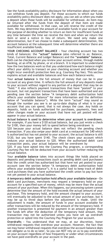See the funds availability policy disclosure for information about when you can withdraw funds you deposit. For those accounts to which our funds availability policy disclosure does not apply, you can ask us when you make a deposit when those funds will be available for withdrawal. An item may be returned after the funds from the deposit of that item are made available for withdrawal. In that case, we will reverse the credit of the item. We may determine the amount of available funds in your account for the purpose of deciding whether to return an item for insufficient funds at any time between the time we receive the item and when we return the item or send a notice in lieu of return. We need only make one determination, but if we choose to make a subsequent determination, the account balance at the subsequent time will determine whether there are insufficient available funds.

**YOUR CHECKING ACCOUNT BALANCE -** Your checking account has two kinds of balances: the **"actual" balance** (also referred to as: Balance, Total, Current Balance and Ledger Balance) and the **"available" balance**. Both can be checked when you review your account online, through mobile banking, at an ATM, by phone, or at a branch. It is important to understand how the two balances work so that you understand how each balance might affect your ability to transact on your checking account and whether you might incur overdraft protection fees (e.g. Courtesy Pay fee). This section explains actual and available balances and how each balance works.

Your **actual balance** is the full amount of money that can be in your account at any given time. It reflects the full amount of any deposits made to your account without regard to any portion of a deposit that may be on "hold." It also reflects payment transactions that have "posted" to your account, but not payment transactions that have been authorized and are pending (see the section below "A temporary debit authorization hold affects your available balance" for more information and the definition below of "available balance"). While the term "actual" may sound as though the number you see is an up-to-date display of what is in your account that you can spend, that is not always the case. Any holds on deposits, holds on funds authorized for purchases, payments, fees and other charges made on your account that have not yet posted will not appear in your actual balance.

**Actual balance is used to determine when your account is overdrawn.**  For example, if you have a \$120 actual balance, but you just wrote a check for \$100, then your money left to spend before being overdrawn is

\$20 because your actual balance does not reflect the pending check transaction. If you also swipe your debit card at a restaurant for \$40 which is authorized but has not posted to your account; the actual balance is still \$120, but you have spent \$140. The check clears your account which reduces your actual balance to \$20. When the authorized debit card transaction posts, your actual balance will be overdrawn by

\$20. If you have opted into the Courtesy Pay program, a corresponding Courtesy Pay fee will be deducted from your account further reducing the actual balance.

Your **available balance** takes into account things like holds placed on deposits and pending transactions (such as pending debit card purchases) that the credit union has authorized but that have not yet posted to your account (see the section below "A temporary debit authorization hold affects your available balance"). It is a useful tool to keep track of debit card purchases that you have authorized the credit union to pay but have not yet posted to your actual balance.

**A temporary debit authorization hold affects your available balance -** On debit card purchases, merchants may request a temporary hold on your account for a specified sum of money, which may be more than the actual amount of your purchase. When this happens, our processing system cannot determine that the amount of the hold exceeds the actual amount of your purchase. This temporary hold, and the amount charged to your account, will eventually be adjusted to the actual amount of your purchase, but it may be up to three days before the adjustment is made. Until the adjustment is made, the amount of funds in your account available for other transactions will be reduced by the amount of the temporary hold. If another transaction is presented for payment in an amount greater than the funds left after the deduction of the temporary hold amount, that transaction may not be authorized unless you have set up overdraft protection or opted into the Courtesy Pay Program for your account.

**Overdrafts -** You understand that we may, at our discretion, honor withdrawal requests that overdraw your account. However, the fact that we may honor withdrawal requests that overdraw the account balance does not obligate us to do so later. So you can NOT rely on us to pay overdrafts on your account regardless of how frequently or under what circumstances we have paid overdrafts on your account in the past.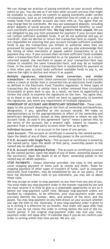We can change our practice of paying overdrafts on your account without notice to you. You can ask us if we have other account services that might be available to you where we commit to paying overdrafts under certain circumstances, such as an overdraft protection line-of-credit or a plan to sweep funds from another account you have with us. You agree that we may charge fees for overdrafts. We may use subsequent deposits, including direct deposits of social security or other government benefits, to cover such overdrafts and overdraft fees. **We may return items unpaid.** We are not obligated to pay any item presented for payment if your account does not contain sufficient available funds. If we do not authorize and pay an overdraft, then we decline or return the transaction/item as unpaid. You are responsible for ensuring that your account includes sufficient available funds to pay the transactions you initiate or authorize when they are processed for payment from your account, and you also acknowledge that the timing of when merchants or payees submit transactions to us for payment may vary. If your account does not have sufficient funds available when a transaction/item is presented to us for payment and, as a result, returned unpaid, the merchant or payee of your transaction/item may choose to resubmit the same transaction/item, and may do so multiple times. In the event that a transaction/item is resubmitted for payment at a time when your account lacks sufficient available funds to pay it, we reserve the right to decline and return it as unpaid.

**Multiple signatures, electronic check conversion, and similar transactions -** An electronic check conversion transaction is a transaction where a check or similar item is converted into an electronic fund transfer as defined in the Electronic Fund Transfers regulation. In these types of transactions the check or similar item is either removed from circulation (truncated) or given back to you. As a result, we have no opportunity to review the check to examine the signatures on the item. You agree that, as to these or any items as to which we have no opportunity to examine the signatures, you waive any requirement of multiple signatures.

**OWNERSHIP OF ACCOUNT AND BENEFICIARY DESIGNATION -** These rules apply to this account depending on the form of ownership and beneficiary designation, if any, specified on the account records. We make no representations as to the appropriateness or effect of the ownership and beneficiary designations, except as they determine to whom we pay the account funds. As used in this agreement "party" means a person who, by the terms of the account, has a present right, subject to request, to payment from a multiple-party account other than as an agent.

**Individual Account -** is an account in the name of one person.

**Joint Account -** This account or certificate is owned by the named parties. Upon the death of any of them, ownership passes to the survivor(s).

**P.O.D. Account with Single Party -** This account or certificate is owned by the named party. Upon the death of that party, ownership passes to the named pay-on-death payee(s).

**P.O.D. Account with Multiple Parties -** This account or certificate is owned by the named parties. Upon the death of any of them, ownership passes to the survivor(s). Upon the death of all of them, ownership passes to the named pay-on-death payee(s).

**STOP PAYMENTS -** Unless otherwise provided, the rules in this section cover stopping payment of items such as checks and drafts. Rules for stopping payment of other types of transfers of funds, such as consumer electronic fund transfers, may be established by law or our policy. If we have not disclosed these rules to you elsewhere, you may ask us about those rules.

We may accept an order to stop payment on any item from any one of you. You must make any stop-payment order in the manner required by law and we must receive it in time to give us a reasonable opportunity to act on it before our stop-payment cutoff time. Because stop-payment orders are handled by computers, to be effective, your stop-payment order must precisely identify the number, date, and amount of the item, and the payee. You may stop payment on any item drawn on your account whether you sign the item or not. Generally, if your stop-payment order is given to us in writing it is effective for six months. Your order will lapse after that time if you do not renew the order in writing before the end of the sixmonth period. If the original stop-payment order was oral your stoppayment order will lapse after 14 calendar days if you do not confirm your order in writing within that time period. We are not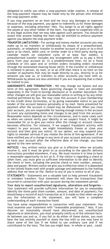obligated to notify you when a stop-payment order expires. A release of the stop-payment request may be made only by the person who initiated the stop-payment order.

If you stop payment on an item and we incur any damages or expenses because of the stop payment, you agree to indemnify us for those damages or expenses, including attorneys' fees. You assign to us all rights against the payee or any other holder of the item. You agree to cooperate with us in any legal actions that we may take against such persons. You should be aware that anyone holding the item may be entitled to enforce payment against you despite the stop-payment order.

**TRANSFER LIMITATIONS -** For savings and money market accounts you may make up to six transfers or withdrawals by means of a preauthorized, automatic, or telephonic transfer to another account of yours or to a third party or by check, debit card, or similar order to a third party during any calendar month (or statement cycle of at least four weeks). A preauthorized transfer includes any arrangement with us to pay a third party from yo through the automated clearing house (ACH). If the transfer or withdrawal is initiated in person, by mail, or at an ATM then there is no limit on the number of payments that may be made directly to you, directly to us for amounts you owe us, or transfers to other accounts you have with us. Withdrawals by phone are also unlimited if you are requesting that a check be mailed to you.

**AMENDMENTS AND TERMINATION -** We may change our bylaws and any term of this agreement. Rules governing changes in rates are provided separately in the Truth-in-Savings disclosure or in another document. For other changes we will give you reasonable notice in writing or by any other method permitted by law. We may close this account if your membership in the Credit Union terminates, or by giving reasonable notice to you and tender of the account balance personally or by mail. Items presented for payment after the account is closed may be dishonored. When you close your account, you are responsible for leaving enough money in the account to cover any outstanding items and charges to be paid from the account. Reasonable notice depends on the circumstances, and in some cases such as when we cannot verify your identity or we suspect fraud, it might be reasonable for us to give you notice after the change or account closure becomes effective. For instance, if we suspect fraudulent activity with respect to your account, we might immediately freeze or close your account and then give you notice. At our option, we may suspend your rights to member services if you violate the terms of this agreement. If we have notified you of a change in any term of your account and you continue to have your account after the effective date of the change, you have agreed to the new term(s).

**NOTICES -** Any written notice you give us is effective when we actually receive it, and it must be given to us according to the specific delivery instructions provided elsewhere, if any. We must receive it in time to have a reasonable opportunity to act on it. If the notice is regarding a check or other item, you must give us sufficient information to be able to identify the check or item, including the precise check or item number, amount, date and payee. Written notice we give you is effective when it is deposited in the United States mail with proper postage and addressed to the mailing address that we have on file. Notice to any of you is notice to all of you.

**STATEMENTS -** Statements are a valuable tool to help prevent fraudulent or mistaken transfers. Your statement will show the transactions that occurred in connection with your account during the statement period.

**Your duty to report unauthorized signatures, alterations and forgeries -** Your statement will provide sufficient information for you to reasonably identify the items paid (item number, amount, and date of payment).You should keep a record of each transaction as it is made so that when we give you the information in the statement, you will have a complete understanding of each transaction listed.

You have some responsibilities in connection with your statement. You must examine your statement with "reasonable promptness." Also, if you discover (or reasonably should have discovered) any unauthorized signatures or alterations, you must promptly notify us of the relevant facts. As between you and us, if you fail to do either of these duties, you must bear the loss entirely yourself or share the loss with us (we may have to share some of the loss if we failed to use ordinary care and if we contributed to the loss). The loss you might bear, in whole or part, could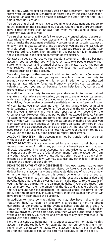be not only with respect to items listed on the statement, but also other items with unauthorized signatures or alterations by the same wrongdoer. Of course, an attempt can be made to recover the loss from the thief, but this is often unsuccessful.

You agree that the time you have to examine your statement and report to us will depend on the circumstances, but you will not, in any circumstance, have a total of more than 30 days from when we first send or make the statement available to you.

You further agree that if you fail to report any unauthorized signatures, alterations or forgeries in your account within 60 days of when we first send or make the statement available, you cannot assert a claim against us on any items in that statement, and as between you and us the loss will be entirely yours. This 60-day limitation is without regard to whether we exercised ordinary care. The limitation in this paragraph is in addition to those contained in the second paragraph of this section.

Contact us if you do not receive your regular statement. If this is a business account, you agree that you will have at least two people review your statements, notices, and returned checks, or in the alternative, the person who reviews these will be someone who does not have authority to transact business on the account.

**Your duty to report other errors -** In addition to the California Commercial Code and other state law, you agree there is a common law duty to promptly review your statement for errors in addition to unauthorized signatures, alterations or forgeries. Promptly reviewing your statement is valuable to both you and us because it can help identify, correct and prevent future mistakes.

In addition to your duty to review your statements for unauthorized signatures, alterations and forgeries, you agree to examine your statement with reasonable promptness for any other error - such as an encoding error. In addition, if you receive or we make available either your items or images of your items, you must examine them for any unauthorized or missing endorsements or any other problems. You agree that the time you have to examine your statement and items and report to us will depend on the circumstances. However, this time period shall not exceed 60 days. Failure to examine your statement and items and report any errors to us within 60 days of when we first send or make the statement available precludes you from asserting a claim against us for any errors on items identified in that statement and as between you and us the loss will be entirely yours. If a good reason (such as a long trip or a hospital stay) kept you from telling us, we will extend the 60 day time period to report other errors.

**ACCOUNT TRANSFER -** This account may not be transferred or assigned without our prior written consent.

**DIRECT DEPOSITS -** If we are required for any reason to reimburse the federal government for all or any portion of a benefit payment that was directly deposited into your account, you authorize us to deduct the amount of our liability to the federal government from the account or from any other account you have with us, without prior notice and at any time, except as prohibited by law. We may also use any other legal remedy to recover the amount of our liability.

**RIGHT TO REPAYMENT OF INDEBTEDNESS -** You each agree that we may (without prior notice and when permitted by law) charge against and deduct from this account any due and payable debt any of you owe us now or in the future. If this account is owned by one or more of you as individuals, we may set off any funds in the account against a due and payable debt a partnership owes us now or in the future, to the extent of your liability as a partner for the partnership debt. If your debt arises from a promissory note, then the amount of the due and payable debt will be the full amount we have demanded, as entitled under the terms of the note, and this amount may include any portion of the balance for which we have properly accelerated the due date.

In addition to these contract rights, we may also have rights under a "statutory lien." A "lien" on property is a creditor's right to obtain ownership of the property in the event a debtor defaults on a debt. A "statutory lien" is one created by federal or state statute. If federal or state law provides us with a statutory lien, then we are authorized to apply, without prior notice, your shares and dividends to any debt you owe us, in accord with the statutory lien.

Neither our contract rights nor rights under a statutory lien apply to this account if prohibited by law. For example, neither our contract rights nor rights under a statutory lien apply to this account if: (a) it is an Individual Retirement Account or similar tax-deferred account, or (b) the debt is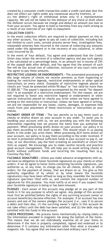created by a consumer credit transaction under a credit card plan (but this does not affect our rights under any consensual security interest), or

(c) the debtor's right of withdrawal arises only in a representative capacity. We will not be liable for the dishonor of any check or draft when the dishonor occurs because we charge and deduct an amount you owe us from your account. You agree to hold us harmless from any claim arising as a result of our exercise of our right to repayment.

#### <span id="page-11-0"></span>**COLLECTION COSTS -**

In the event collection efforts are required to obtain payment on this or any other account, You agree to pay all costs of collection, including but not limited to court costs, private process server fees, investigation fees, reasonable attorney fees incurred in the course of collecting any amounts owed under this Agreement or in the recovery of any collateral, or other costs incurred by Us.

In the event of Your default, You agree and understand that the Credit Union may retain the services of a collection agency and pay such agency a fee calculated on a percentage basis, in an amount not in excess of 25% of the unpaid debt after default, and You agree that the amount of such fee will be Our actual cost of collection, exclusive of any court costs and You agree to pay these amounts.

**RESTRICTIVE LEGENDS OR ENDORSEMENTS -** The automated processing of the large volume of checks we receive prevents us from inspecting or looking for restrictive legends, restrictive endorsements or other special instructions on every check. Examples of restrictive legends placed on checks are "must be presented within 90 days" or "not valid for more than \$1,000.00." The payee's signature accompanied by the words "for deposit only" is an example of a restrictive endorsement. For this reason, we are not required to honor any restrictive legend or endorsement or other special instruction placed on checks you write unless we have agreed in writing to the restriction or instruction. Unless we have agreed in writing, we are not responsible for any losses, claims, damages, or expenses that result from your placement of these restrictions or instructions on your checks.

**PAYMENT ORDER OF ITEMS -** The law permits us to pay items (such as checks or drafts) drawn on your account in any order. To assist you in handling your account with us, we are providing you with the following information regarding how we process the items that you authorize for payment. When processing drafts drawn on your account, our policy is to pay them according to the draft number. This should result in us paying drafts in the order you write them. When processing ACH items drawn on your account, our policy is to pay them according to the order received. If an item is presented without sufficient funds in your account to pay it, we may, at our discretion, pay the item (creating an overdraft) or return the item as unpaid. We encourage you to make careful records and practice good account management. This will help you to avoid writing checks or drafts without sufficient funds and incurring the resulting fees (e.g. Courtesy Pay fee).

**FACSIMILE SIGNATURES -** Unless you make advance arrangements with us, we have no obligation to honor facsimile signatures on your checks or other orders. If we do agree to honor items containing facsimile signatures, you authorize us, at any time, to charge you for all checks, drafts, or other orders, for the payment of money, that are drawn on us. You give us this authority regardless of by whom or by what means the facsimile signature(s) may have been affixed so long as they resemble the facsimile signature specimen filed with us, and contain the required number of signatures for this purpose. You must notify us at once if you suspect that your facsimile signature is being or has been misused.

**PLEDGES -** Each owner of this account may pledge all or any part of the funds in it for any purpose to which we agree. Any pledge of this account must first be satisfied before the rights of any surviving account owner or account beneficiary become effective. For example, if an account has two owners and one of the owners pledges the account (i.e., uses it to secure a debt) and then dies, (1) the surviving owner's rights in this account do not take effect until the debt has been satisfied, and (2) the debt may be satisfied with the funds in this account.

**CHECK PROCESSING -** We process items mechanically by relying solely on the information encoded in magnetic ink along the bottom of the items. This means that we do not individually examine all of your items to determine if the item is properly completed, signed and endorsed or to determine if it contains any information other than what is encoded in magnetic ink. You agree that we have exercised ordinary care if our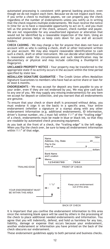automated processing is consistent with general banking practice, even though we do not inspect each item. Because we do not inspect each item, if you write a check to multiple payees, we can properly pay the check regardless of the number of endorsements unless you notify us in writing that the check requires multiple endorsements. We must receive the notice in time for us to have a reasonable opportunity to act on it, and you must tell us the precise date of the check, amount, check number and payee. We are not responsible for any unauthorized signature or alteration that would not be identified by a reasonable inspection of the item. Using an automated process helps us keep costs down for you and all account holders.

**CHECK CASHING -** We may charge a fee for anyone that does not have an account with us who is cashing a check, draft or other instrument written on your account. We may also require reasonable identification to cash such a check, draft or other instrument. We can decide what identification is reasonable under the circumstances and such identification may be documentary or physical and may include collecting a thumbprint or fingerprint.

**UNCLAIMED PROPERTY NOTICE -** Your property may be transferred to the appropriate state if no activity occurs in the account within the time period specified by state law.

**MEDALLION SIGNATURE GUARANTEE -** The Credit Union offers Medallion Signature Guarantees to members who have had an active share or loan for at least 6 months.

**ENDORSEMENTS -** We may accept for deposit any item payable to you or your order, even if they are not endorsed by you. We may give cash back to any one of you. We may supply any missing endorsement(s) for any item we accept for deposit or collection, and you warrant that all endorsements are genuine.

To ensure that your check or share draft is processed without delay, you must endorse it (sign it on the back) in a specific area. Your entire endorsement (whether a signature or a stamp) along with any other endorsement information (e.g. additional endorsements, ID information,<br>driver's license number, etc.) must fall within 1½" of the "trailing edge"<br>of a check. endorsements must be made in blue or black ink, so that they are readable by automated check processing equipment.

As you look at the front of a check, the "trailing edge" is the left edge. When you flip the check over, be sure to keep all endorsement information within 11 /2" of that edge.



BACK OF CHECK

It is important that you confine the endorsement information to this area since the remaining blank space will be used by others in the processing of the check to place additional needed endorsements and information. You agree that you will indemnify, defend, and hold us harmless for any loss, liability, damage or expense that occurs because your endorsement, another endorsement or information you have printed on the back of the check obscures our endorsement.

These endorsement guidelines apply to both personal and business checks.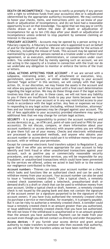**DEATH OR INCOMPETENCE -** You agree to notify us promptly if any person with a right to withdraw funds from your account(s) dies or is adjudicated (determined by the appropriate authority) incompetent. We may continue to honor your checks, items, and instructions until: (a) we know of your death or adjudication of incompetence, and (b) we have had a reasonable opportunity to act on that knowledge. You agree that we may pay or certify checks drawn on or before the date of death or adjudication of incompetence for up to ten (10) days after your death or adjudication of incompetence unless ordered to stop payment by someone claiming an interest in the account.

**FIDUCIARY ACCOUNTS -** Accounts may be opened by a person acting in a fiduciary capacity. A fiduciary is someone who is appointed to act on behalf of and for the benefit of another. We are not responsible for the actions of a fiduciary, including the misuse of funds. This account may be opened and maintained by a person or persons named as a trustee under a written trust agreement, or as executors, administrators, or conservators under court orders. You understand that by merely opening such an account, we are not acting in the capacity of a trustee in connection with the trust nor do we undertake any obligation to monitor or enforce the terms of the trust or letters.

**LEGAL ACTIONS AFFECTING YOUR ACCOUNT -** If we are served with a subpoena, restraining order, writ of attachment or execution, levy, garnishment, search warrant, or similar order relating to your account (termed "legal action" in this section), we will comply with that legal action. Or, in our discretion, we may freeze the assets in the account and not allow any payments out of the account until a final court determination regarding the legal action. We may do these things even if the legal action involves less than all of you. In these cases, we will not have any liability to you if there are insufficient funds to pay your items because we have withdrawn funds from your account or in any way restricted access to your funds in accordance with the legal action. Any fees or expenses we incur in responding to any legal action (including, without limitation, attorneys' fees and our internal expenses) may be charged against your account. The list of fees applicable to your account(s) provided elsewhere may specify additional fees that we may charge for certain legal actions.

**SECURITY -** It is your responsibility to protect the account number(s) and access device(s) (e.g., an ATM card, point-of-sale card and/or PIN) for your account(s). Do not discuss, compare, or share information about your account number(s) or access device(s) with anyone unless you are willing to give them full use of your money. Checks and electronic withdrawals are processed by automated methods, and anyone who obtains your account number or access device could use it to withdraw money from your account, with or without your permission.

Except for consumer electronic fund transfers subject to Regulation E, you agree that if we offer you services appropriate for your account to help identify and limit fraud or other unauthorized transactions against your account, such as positive pay or commercially reasonable security procedures, and you reject those services, you will be responsible for any fraudulent or unauthorized transactions which could have been prevented by the services we offered, unless we acted in bad faith or to the extent our negligence contributed to the loss.

**Account numbers -** Thieves can encode your account number on a check which looks and functions like an authorized check and can be used to withdraw money from your account. Your account number can also be used to issue a "remotely created check." Like a typical check, a remotely created check (sometimes called a telecheck, preauthorized draft or demand draft) is a draft or check that can be used to withdraw money from your account. Unlike a typical check or draft, however, a remotely created check is not issued by the paying bank and does not contain the signature of the account owner (or a signature purported to be the signature of the account owner). If you have truly authorized the remotely created check (to purchase a service or merchandise, for example), it is properly payable. But it can be risky to authorize a remotely created check. A swindler could issue a remotely created check in an amount greater than you authorized, or issue additional remotely created checks that you have not authorized. We will not know if the withdrawal is unauthorized or in an amount greater than the amount you have authorized. Payment can be made from your account even though you did not contact us directly and order the payment. **Access devices -** If you furnish your access device and grant actual authority to make transfers to someone who then exceeds that authority, you will be liable for the transfers unless we have been notified that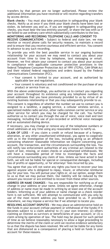transfers by that person are no longer authorized. Please review the additional information you have received or will receive regarding transfers by access device.

**Blank checks -** You must also take precaution in safeguarding your blank checks. Notify us at once if you think your blank checks have been lost or stolen. As between you and us, if you are negligent in safeguarding your checks, you must bear the loss entirely yourself, or share the loss with us if we failed to use ordinary care which substantially contributes to the loss.

#### **MONITORING AND RECORDING TELEPHONE CALLS AND CONSENT TO**

**RECEIVE COMMUNICATIONS -** Subject to federal and state law, we may monitor or record phone calls for security reasons, to maintain a record and to ensure that you receive courteous and efficient service. You consent in advance to any such recording.

To provide you with the best possible service in our ongoing business relationship for your account we may need to contact you about your account from time to time by telephone, text messaging or email. However, we first obtain your consent to contact you about your account in compliance with applicable consumer protection provisions in the federal Telephone Consumer Protection Act of 1991 (TCPA), CAN-SPAM Act and their related federal regulations and orders issued by the Federal Communications Commission (FCC).

- Your consent is limited to your account, and as authorized by applicable law and regulations.
- Your consent is voluntary and not conditioned on the purchase of any product or service from us.

With the above understandings, you authorize us to contact you regarding your account throughout its existence using any telephone numbers or email addresses that you have previously provided to us by virtue of an existing business relationship or that you may subsequently provide to us.

This consent is regardless of whether the number we use to contact you is assigned to a landline, a paging service, a cellular wireless service, a specialized mobile radio service, other radio common carrier service or any other service for which you may be charged for the call. You further authorize us to contact you through the use of voice, voice mail and text messaging, including the use of pre-recorded or artificial voice messages and an automated dialing device.

If necessary, you may change or remove any of the telephone numbers or email addresses at any time using any reasonable means to notify us.

**CLAIM OF LOSS -** If you claim a credit or refund because of a forgery, alteration, or any other unauthorized withdrawal, you agree to cooperate with us in the investigation of the loss, including giving us an affidavit containing whatever reasonable information we require concerning your account, the transaction, and the circumstances surrounding the loss. You will notify law enforcement authorities of any criminal act related to the claim of lost, missing, or stolen checks or unauthorized withdrawals. We will have a reasonable period of time to investigate the facts and circumstances surrounding any claim of loss. Unless we have acted in bad faith, we will not be liable for special or consequential damages, including loss of profits or opportunity, or for attorneys' fees incurred by you.

You agree that you will not waive any rights you have to recover your loss against anyone who is obligated to repay, insure, or otherwise reimburse you for your loss. You will pursue your rights or, at our option, assign them to us so that we may pursue them. Our liability will be reduced by the amount you recover or are entitled to recover from these other sources.

**ADDRESS OR NAME CHANGES -** You are responsible for notifying us of any change in your address or your name. Unless we agree otherwise, change of address or name must be made in writing by at least one of the account holders. Informing us of your address or name change on a check reorder form is not sufficient. We will attempt to communicate with you only by use of the most recent address you have provided to us. If provided elsewhere, we may impose a service fee if we attempt to locate you.

**RESOLVING ACCOUNT DISPUTES -** We may place an administrative hold on the funds in your account (refuse payment or withdrawal of the funds) if it becomes subject to a claim adverse to (1) your own interest; (2) others claiming an interest as survivors or beneficiaries of your account; or (3) a claim arising by operation of law. The hold may be placed for such period of time as we believe reasonably necessary to allow a legal proceeding to determine the merits of the claim or until we receive evidence satisfactory to us that the dispute has been resolved. We will not be liable for any items that are dishonored as a consequence of placing a hold on funds in your account for these reasons.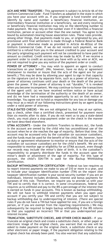**ACH AND WIRE TRANSFERS -** This agreement is subject to Article 4A of the Uniform Commercial Code - Fund Transfers as adopted in the state in which you have your account with us. If you originate a fund transfer and you identify by name and number a beneficiary financial institution, an intermediary financial institution or a beneficiary, we and every receiving or beneficiary financial institution may rely on the identifying number to make payment. We may rely on the number even if it identifies a financial institution, person or account other than the one named. You agree to be bound by automated clearing house association rules. These rules provide, among other things, that payments made to you, or originated by you, are provisional until final settlement is made through a Federal Reserve Bank or payment is otherwise made as provided in Article 4A-403(a) of the Uniform Commercial Code. If we do not receive such payment, we are entitled to a refund from you in the amount credited to your account and the party originating such payment will not be considered to have paid the amount so credited. Credit entries may be made by ACH. If we receive a payment order to credit an account you have with us by wire or ACH, we are not required to give you any notice of the payment order or credit.

**POWER OF ATTORNEY -** You may wish to appoint an agent to conduct transactions on your behalf. (We, however, have no duty or agreement whatsoever to monitor or insure that the acts of the agent are for your benefit.) This may be done by allowing your agent to sign in that capacity on the signature card or by separate form, such as a power of attorney. A power of attorney continues until your death or the death of the person given the power. If the power of attorney is not "durable," it is revoked when you become incompetent. We may continue to honor the transactions of the agent until: (a) we have received written notice or have actual knowledge of the termination of the authority or the death of an owner, and (b) we have had a reasonable opportunity to act on that notice or knowledge. You agree not to hold us responsible for any loss or damage you may incur as a result of our following instructions given by an agent acting under a valid power of attorney.

**STALE-DATED CHECKS -** We are not obligated to, but may at our option, pay a check, other than a certified check, presented for payment more than six months after its date. If you do not want us to pay a stale-dated check, you must place a stop-payment order on the check in the manner we have described elsewhere.

**UTMA ACCOUNTS -** Under the Uniform Transfers to Minors Act, the funds in the account are owned by the child who has unconditional use of the account when he or she reaches the age of majority. Before that time, the account may be accessed only by the custodian (or successor custodian), and the funds must be used for the benefit of the child. We, however, have no duty or agreement whatsoever to monitor or ensure that the acts of the custodian (or successor custodian) are for the child's benefit. We are not responsible to monitor age or eligibility for an UTMA account, even though our records may include the minor's date of birth. It is the custodian's responsibility to properly distribute the funds in the account upon the minor's death or attainment of the age of majority. For this type of account, the child's SSN/TIN is used for the Backup Withholding Certification.

**BACKUP WITHHOLDING/TIN CERTIFICATION -** Federal tax law requires us to report interest payments we make to you of \$10 or more in a year, and to include your taxpayer identification number (TIN) on the report (the taxpayer identification number is your social security number if you are an individual). Interest includes dividends, interest and bonus payments for purposes of this rule. Therefore, we require you to provide us with your TIN and to certify that it is correct. In some circumstances, federal law requires us to withhold and pay to the IRS a percentage of the interest that is earned on funds in your accounts. This is known as backup withholding. We will not have to withhold interest payments when you open your account if you certify your TIN and certify that you are not subject to backup withholding due to underreporting of interest. (There are special rules if you do not have a TIN but have applied for one, if you are a foreign person, or if you are exempt from the reporting requirements.) We may subsequently be required to begin backup withholding if the IRS informs us that you supplied an incorrect TIN or that you underreported your interest income.

**TRUNCATION, SUBSTITUTE CHECKS, AND OTHER CHECK IMAGES -** If you truncate an original check and create a substitute check, or other paper or electronic image of the original check, you warrant that no one will be asked to make payment on the original check, a substitute check or any other electronic or paper image, if the payment obligation relating to the original check has already been paid. You also warrant that any substitute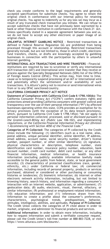check you create conforms to the legal requirements and generally accepted specifications for substitute checks. You agree to retain the original check in conformance with our internal policy for retaining original checks. You agree to indemnify us for any loss we may incur as a result of any truncated check transaction you initiate. We can refuse to accept substitute checks that have not previously been warranted by a bank or other financial institution in conformance with the Check 21 Act. Unless specifically stated in a separate agreement between you and us, we do not have to accept any other electronic or paper image of an original check.

**UNLAWFUL INTERNET GAMBLING NOTICE -** Restricted transactions as defined in Federal Reserve Regulation GG are prohibited from being processed through this account or relationship. Restricted transactions generally include, but are not limited to, those in which credit, electronic fund transfers, checks, or drafts are knowingly accepted by gambling businesses in connection with the participation by others in unlawful Internet gambling.

**INTERNATIONAL ACH TRANSACTIONS AND WIRE TRANSFERS -** Financial institutions are required by law to scrutinize or verify any international ACH transaction (IAT) and international wire transfer that they receive or process against the Specially Designated Nationals (SDN) list of the Office of Foreign Assets Control (OFAC). This action may, from time to time, cause us to temporarily suspend processing of an IAT or international wire and potentially affect the settlement and/or availability of such transactions. It is Altura's policy not to receive or send international wires from or to any OFAC sanctioned country.

#### <span id="page-16-0"></span>**CALIFORNIA CONSUMER PRIVACY ACT NOTICE**

**Statement of Compliance with California Civil Code § 1798.100(b):** The California Consumer Privacy Act ("CCPA") confers statutory rights and protections aimed providing California consumers with greater control and transparency over the use of their personal information ("PI") by affected businesses operating within this state. CCPA provides an exemption for its privacy provisions (with the exception of its data breach provisions), which, pursuant to California Civil Code § 1798.145(e) *"do not apply to personal information collected, processed, sold or disclosed pursuant to the Gramm-Leach-Bliley Act (Public Law 106-102), and implementing regulations, or the California Financial Information Privacy Act (Division 1.4(commencing with Section 4050 of the Financial Code."*

**Categories of PI Collected:** The categories of PI collected by the Credit Union include the following: (1) identifiers (such as a real name, alias, postal address, unique personal identifier, online identifier, IP address, email address, account name, social security number, driver's license number, passport number, or other similar identifiers); (2) signature, physical characteristics or description, telephone number, state identification card number, insurance policy number, education, bank account number, credit card number, debit card number, or any other financial information, medical information, or health insurance information (excluding publicly available information lawfully made accessible to the general public from federal, state, or local government records); (3) characteristics of protected classifications (race, gender, ethnicity, etc.) under California or federal law; (4) commercial information, including records of personal property, products or services purchased, obtained or considered or other purchasing or consuming histories or tendencies; (5) biometric information; (6) internet or other electronic network activity information, including, but not limited to browsing history, search history, and information regarding a consumer's interaction with an internet website, application, or advertisement; (7) geolocation data; (8) audio, electronic, visual, thermal, olfactory, or similar information; (9) professional or employment-related information; (10) education information; and (11) inferences drawn from this information to create a profile about the consumer's preferences, characteristics, psychological trends, predispositions, behavior, attitudes, intelligence, abilities, and aptitudes. **Purpose of PI Collected:**  The Credit Union collects the categories of PI cited above in order to market, originate, and administer its financial products and services.

**Additional Information:** In order to obtain more information, including how to request information and submit a verifiable consumer request, please call the Credit Union's toll-free number at 888-883-7228, or visit [https://www.alturacu.com/disclosures/.](http://www.alturacu.com/disclosures/)

—————————————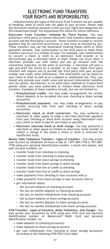# **ELECTRONIC FUND TRANSFERS YOUR RIGHTS AND RESPONSIBILITIES**

Indicated below are types of Electronic Fund Transfers we are capable of handling, some of which may not apply to your account. Please read this disclosure carefully because it tells you your rights and obligations for the transactions listed. You should keep this notice for future reference.

**Electronic Fund Transfers Initiated By Third Parties.** You may authorize a third party to initiate electronic fund transfers between your account and the third party's account. These transfers to make or receive payment may be one-time occurrences or may recur as directed by you. These transfers may use the Automated Clearing House (ACH) or other payments network. Your authorization to the third party to make these transfers can occur in a number of ways. For example, your authorization to convert a check or draft to an electronic fund transfer or to electronically pay a returned check or draft charge can occur when a merchant provides you with notice and you go forward with the transaction (typically, at the point of purchase, a merchant will post a sign and print the notice on a receipt). In all cases, these third party transfers will require you to provide the third party with your account number and credit union information. This information can be found on your check or draft as well as on a deposit or withdrawal slip. Thus, you should only provide your credit union and account information (whether over the phone, the Internet, or via some other method) to trusted third parties whom you have authorized to initiate these electronic fund transfers. Examples of these transfers include, but are not limited to:

- **• Preauthorized credits.** You may make arrangements for certain direct deposits to be accepted into your checking or share savings account(s).
- **• Preauthorized payments.** You may make arrangements to pay certain recurring bills from your checking or share savings account(s).
- **• Electronic check or draft conversion.** You may authorize a merchant or other payee to make a one-time electronic payment from your checking or share draft account using information from your check or draft to pay for purchases or pay bills.
- **• Electronic returned check or draft charge.** You may authorize a merchant or other payee to initiate an electronic funds transfer to collect a charge in the event a check or draft is returned for insufficient funds.

**Money Talks Telephone Transfers - types of transfers -** You may access your account by telephone 24-hours-a-day at 1-877-684-7728 or 951-684- 7728 using your personal identification number, a touch tone phone, and your account numbers, to:

- **•** transfer funds from checking to checking
- **•** transfer funds from checking to share savings
- **•** transfer funds from share savings to checking
- **•** transfer funds from share savings to share savings
- **•** transfer funds from line of credit to checking
- **•** transfer funds from line of credit to share savings
- **•** make payments from checking to loan accounts with us
- **•** make payments from share savings to loan accounts with us
- **•** get information about:
	- **-** the account balance of checking accounts
	- **-** the last six months deposits to checking accounts
	- **-** the last six months withdrawals from checking accounts
	- **-** the account balance of share savings accounts
	- **-** the last six months deposits to share savings accounts
	- **-** the last six months withdrawals from share savings accounts

**ATM Transfers - types of transfers, dollar limitations, and charges -** You may access your account(s) by ATM using your ATM card and personal identification number or Mastercard® Debit Card and personal identification number, to:

- **•** make deposits to checking account(s)
- **•** make deposits to share savings account(s)
- **•** get cash withdrawals from checking or share savings account(s) according to the following ATM/POS Limit table: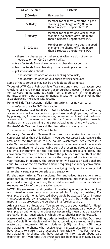| <b>ATM/POS Limit</b> | Criteria                                                                                                        |
|----------------------|-----------------------------------------------------------------------------------------------------------------|
| \$300/day            | New Member                                                                                                      |
| \$500/day            | Member for at least 6 months in good<br>standing (no charge-off's) No more<br>than 6 rejected unpaid items PDD  |
| \$750/day            | Member for at least one year in good<br>standing (no charge-off's) No more<br>than 4 rejected unpaid items PDD  |
| \$1,000/day          | Member for at least two years in good<br>standing (no charge-off's) No more<br>than 2 rejected unpaid items PDD |

**-** there is a charge per withdrawal at ATMs we do not own or operate or non-Co-Op network ATMs

- **•** transfer funds from share savings to checkingaccount(s)
- **•** transfer funds from checking to share savingsaccount(s)
- **•** get information about:
	- **-** the account balance of your checking account(s)
	- **-** the account balance of your share savings accounts

Some of these services may not be available at all terminals.

**Types of ATM Card Point-of-Sale Transactions -** You may access your checking or share savings account(s) to purchase goods (in person), pay for services (in person), get cash from a merchant, if the merchant permits, or from a participating financial institution, and do anything that a participating merchant will accept.

**Point-of-Sale Transactions - dollar limitations -** Using your card:

**•** refer to the ATM/POS limit table

**Types of Mastercard Debit Card Point-of-Sale Transactions -** You may access your checking account(s) to purchase goods (in person, online, or by phone), pay for services (in person, online, or by phone), get cash from a merchant, if the merchant permits, or from a participating financial institution, and do anything that a participating merchant will accept.

**Point-of-Sale Transactions - dollar limitations -** Using your card:

**•** refer to the ATM/POS limit table

**Currency Conversion Transactions.** You can make transactions in currencies other than U.S. dollars. If you do, Mastercard will convert the amount of the transaction to U.S. dollars. Mastercard uses either: (1) a rate Mastercard selects from the range of rates available in wholesale currency markets for the applicable central processing date; or (2) a rate set by a government for the applicable central processing date. The conversion rate may be different from the published rate in effect on the day that you made the transaction or that we posted the transaction to your Account. In addition, the credit union will assess an additional fee equal to 0.2% of the transaction amount requiring a currency conversion.

**NOTE: Please exercise discretion in verifying the type of currency that a merchant requires to complete a transaction.** 

**Foreign/International Transactions:** For authorized transactions (e.g. debit card purchases) with foreign or international merchants, which are processed in foreign countries, the credit union will assess an additional fee equal to 0.8% of the transaction amount.

**NOTE: Please exercise discretion in verifying whether transactions with foreign merchants are processed in foreign countries.** For example, the additional fee cited above would be assessed for an internet transaction made by a consumer within the U.S., but with a foreign merchant that processes the purchase in a foreign country.

**Advisory Against Illegal Use.** You agree not to use your card(s) for illegal gambling or other illegal purpose. Display of a payment card logo by, for example, an online merchant does not necessarily mean that transactions are lawful in all jurisdictions in which the cardholder may be located.

**Mastercard Automatic Billing Updater Notice of Right to Opt Out.** Your Altura Credit Union debit card will be automatically enrolled in the free Mastercard® Automatic Billing Updater (ABU) service. ABU helps participating merchants who receive recurring payments from your card have access to current card account information on file. For instance, participating merchants will have access to information about card expiration, or if you report that your card has been lost or stolen. You are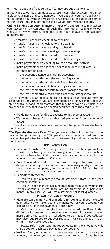entitled to opt out of this service. You may opt out at any time.

If you want to opt out, email us a[t cardservices@alturacu.com. Y](mailto:cardservices@alturacu.com)ou must include your name and card number. If you opt out, you may opt back in if you decide you want the Mastercard Automatic Billing Updater service in the future. You may opt in the same way(s) that you can opt out.

**Online Banking Computer Transfers - types of transfers -** You may access your account(s) by computer through the internet by logging onto our website at [www.Alturacu.com a](http://www.alturacu.com/)nd using your password and account numbers, to:

- **•** transfer funds from checking to checking
- **•** transfer funds from checking to share savings
- **•** transfer funds from share savings to checking
- **•** transfer funds from share savings to share savings
- **•** transfer funds from line of credit to checking
- **•** transfer funds from line of credit to share savings
- **•** make payments from checking to loan account(s) with us
- **•** make payments from share savings to loan account(s) with us
- **•** get information about:
	- **-** the account balance of checking account(s)
	- **-** the last six months deposits to checking accounts
	- **-** the last six months withdrawals from checking accounts
	- **-** the account balance of share savings account(s)
	- **-** the last six months deposits to share savings accounts
	- **-** the last six months withdrawals from share savingsaccounts

Use of any particular access device to access your account may be suspended at any time if; you are delinquent on a loan, commit account abuse or fraud, conduct transactions that may be viewed as suspicious, or any other activity that may be deemed detrimental to the credit union.

#### **FEES**

- **•** We do not charge for direct deposits to any type ofaccount.
- **•** We do not charge for preauthorized payments from any type of account.

Except as indicated elsewhere, we do not charge for these electronic fund transfers.

**ATM Operator/Network Fees.** When you use an ATM not owned by us, you may be charged a fee by the ATM operator or any network used (and you may be charged a fee for a balance inquiry even if you do not complete a fund transfer).

#### **DOCUMENTATION**

- **• Terminal transfers.** You can get a receipt at the time you make a transfer to or from your account using an automated teller machine or point-of-sale terminal. However, you may not get a receipt if the amount of the transfer is \$15 or less.
- **• Preauthorized credits.** If you have arranged to have direct deposits made to your account at least once every 60 days from the same person or company, you can call us at 1-877-684-7728 to find out whether or not the deposit has been made.

#### **• Periodic statements.**

You will get a monthly account statement from us for your checking accounts.

You will get a monthly account statement from us for your share savings accounts, unless there are no transfers in a particular month. In any case, you will get a statement at least quarterly.

#### **PREAUTHORIZED PAYMENTS**

**• Right to stop payment and procedure for doing so.** If you have told us in advance to make regular payments out of your account, you can stop any of these payments. Here is how:

Call or write us at the telephone number or address listed in this disclosure in time for us to receive your request 3 business days or more before the payment is scheduled to be made. If you call, we may also require you to put your request in writing and get it to us within 14 days after you call.

Please refer to our separate fee schedule for the amount we will charge you for each stop-payment order you give.

**• Notice of varying amounts.** If these regular payments may vary in amount, the person you are going to pay will tell you, 10 days before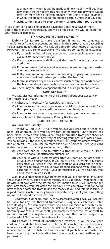each payment, when it will be made and how much it will be. (You may choose instead to get this notice only when the payment would differ by more than a certain amount from the previous payment, or when the amount would fall outside certain limits that you set.)

#### **• Liability for failure to stop payment of preauthorized transfer.**

If you order us to stop one of these payments 3 business days or more before the transfer is scheduled, and we do not do so, we will be liable for your losses or damages.

#### **FINANCIAL INSTITUTION'S LIABILITY**

**Liability for failure to make transfers.** If we do not complete a transfer to or from your account on time or in the correct amount according to our agreement with you, we will be liable for your losses or damages. However, there are some exceptions. We will not be liable, for instance:

- (1) If, through no fault of ours, you do not have enough money in your account to make the transfer.
- (2) If you have an overdraft line and the transfer would go over the credit limit.
- (3) If the automated teller machine where you are making the transfer does not have enough cash.
- (4) If the terminal or system was not working properly and you knew about the breakdown when you started the transfer.
- (5) If circumstances beyond our control (such as fire or flood) prevent the transfer, despite reasonable precautions that we have taken.
- (6) There may be other exceptions stated in our agreement withyou. **CONFIDENTIALITY**

#### We will disclose information to third parties about your account or the transfers you make:

- (1) where it is necessary for completing transfers; or
- (2) in order to verify the existence and condition of your account for a third party, such as a credit bureau or merchant; or
- (3) in order to comply with a government agency or court orders; or
- (4) as explained in the separate Privacy Disclosure.

#### **UNAUTHORIZED TRANSFERS**

#### **(a) Consumer liability.**

*• Generally.* Tell us AT ONCE if you believe your card and/or code has been lost or stolen, or if you believe that an electronic fund transfer has been made without your permission using information from your check or draft. Telephoning is the best way of keeping your possible losses down. You could lose all the money in your account (plus your maximum overdraft line of credit). You can lose no more than \$50 if someone used your card and/or code without your permission, and, either:

- (i) your card can be used to initiate a transaction without a PIN or other personal identification number, or
- (ii) you tell us within 2 business days after you learn of the loss or theft of your card and/or code. If you do NOT tell us within 2 business days after you learn of the loss or theft of your card and/or code, and we can prove we could have stopped someone from using your card and/or code without your permission if you had told us, you could lose as much as \$500.

Also, if your statement shows transfers that you did not make, including those made by card, code or other means, tell us at once. If you do not tell us within 60 days after the statement was mailed to you, you may not get back any money you lost after the 60 days if we can prove that we could have stopped someone from taking the money if you had told us in time. If a good reason (such as a long trip or a hospital stay) kept you from telling us, we will extend the time periods.

**•** *Additional Limits on Liability for Mastercard Debit Card.* You will not be liable for any unauthorized transactions using your Mastercard Debit Card if: (i) you can demonstrate that you have exercised reasonable care in safeguarding your card from the risk of loss or theft, and (ii) upon becoming aware of a loss or theft, you promptly report the loss or theft to us. Mastercard is a registered trademark, and the circles design is a trademark of Mastercard International Incorporated.

**(b) Contact in event of unauthorized transfer.** If you believe your card and/or code has been lost or stolen, call or write us at the telephone number or address listed in this disclosure. You should also call the number or write to the address listed in this disclosure if you believe a transfer has been made using the information from your check or draft without your permission.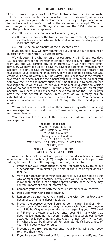#### **ERROR RESOLUTION NOTICE**

In Case of Errors or Questions About Your Electronic Transfers, Call or Write us at the telephone number or address listed in this disclosure, as soon as you can, if you think your statement or receipt is wrong or if you need more information about a transfer listed on the statement or receipt. We must hear from you no later than 60 days after we sent the FIRST statement on which the problem or error appeared.

- (1) Tell us your name and account number (if any).
- (2) Describe the error or the transfer you are unsure about, and explain as clearly as you can why you believe it is an error or why you need more information.
- (3) Tell us the dollar amount of the suspected error.

If you tell us orally, we may require that you send us your complaint or question in writing within 10 business days.

We will determine whether an error occurred within 10 business days (20 business days if the transfer involved a new account) after we hear from you and will correct any error promptly. If we need more time, however, we may take up to 45 days (90 days if the transfer involved a new account, a point-of-sale transaction, or a foreign-initiated transfer) to investigate your complaint or question. If we decide to do this, we will credit your account within 10 business days (20 business days if the transfer involved a new account) for the amount you think is in error, so that you will have the use of the money during the time it takes us to complete our investigation. If we ask you to put your complaint or question in writing and we do not receive it within 10 business days, we may not credit your account. Your account is considered a new account for the first 30 days after the first deposit is made, unless each of you already has an established account with us before this account is opened. Your account is considered a new account for the first 30 days after the first deposit is made.

We will tell you the results within three business days after completing our investigation. If we decide that there was no error, we will send you a written explanation.

You may ask for copies of the documents that we used in our investigation.

#### ALTURA CREDIT UNION MEMBER SERVICE CENTER 2847 CAMPUS PARKWAY RIVERSIDE, CA 92507 Excluding Federal Holidays Phone: 1-888-883-7228 MORE DETAILED INFORMATION IS AVAILABLE ON REQUEST **NOTICE OF ATM/NIGHT DEPOSIT FACILITY USER PRECAUTIONS**

As with all financial transactions, please exercise discretion when using an automated teller machine (ATM) or night deposit facility. For your own safety, be careful. The following suggestions may be helpful.

- Prepare for your transactions at home (for instance, by filling out a deposit slip) to minimize your time at the ATM or night deposit facility.
- 2. Mark each transaction in your account record, but not while at the ATM or night deposit facility. Always save your ATM receipts. Don't leave them at the ATM or night deposit facility because they may contain important account information.
- 3. Compare your records with the account statements you receive.
- 4. Don't lend your ATM card to anyone.
- 5. Remember, do not leave your card at the ATM. Do not leave any documents at a night deposit facility.
- 6. Protect the secrecy of your Personal Identification Number (PIN). Protect your ATM card as though it were cash. Don't tell anyone your PIN. Don't give anyone information regarding your ATM card or PIN over the telephone. Never enter your PIN in any ATM that does not look genuine, has been modified, has a suspicious device attached, or is operating in a suspicious manner. Don't write your PIN where it can be discovered. For example, don't keep a note of your PIN in your wallet or purse.
- 7. Prevent others from seeing you enter your PIN by using your body to shield their view.
- 8. If you lose your ATM card or if it is stolen, promptly notify us. You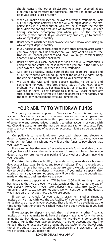should consult the other disclosures you have received about electronic fund transfers for additional information about what to do if your card is lost or stolen

- 9. When you make a transaction, be aware of your surroundings. Look out for suspicious activity near the ATM or night deposit facility, particularly if it is after sunset. At night, be sure that the facility (including the parking area and walkways) is well lighted. Consider having someone accompany you when you use the facility, especially after sunset. If you observe any problem, go to another ATM or night deposit facility.
- 10. Don't accept assistance from anyone you don't know when using an ATM or night deposit facility.
- 11. If you notice anything suspicious or if any other problem arises after you have begun an ATM transaction, you may want to cancel the transaction, pocket your card and leave. You might consider using another ATM or coming back later.
- 12. Don't display your cash; pocket it as soon as the ATM transaction is completed and count the cash later when you are in the safety of your own car, home, or other secure surrounding.
- 13. At a drive-up facility, make sure all the car doors are locked and all of the windows are rolled up, except the driver's window. Keep the engine running and remain alert to your surroundings.
- 14. We want the ATM and night deposit facility to be safe and convenient for you. Therefore, please tell us if you know of any problem with a facility. For instance, let us know if a light is not working or there is any damage to a facility. Please report any suspicious activity or crimes to both the operator of the facility and the local law enforcement officials immediately.

# ————————————— **YOUR ABILITY TO WITHDRAW FUNDS**

<span id="page-22-0"></span>This policy statement applies to "transaction" accounts and savings accounts. Transaction accounts, in general, are accounts which permit an unlimited number of payments to third persons and an unlimited number of telephone and preauthorized transfers to other accounts of yours with us. Checking accounts are the most common transaction accounts. Feel free to ask us whether any of your other accounts might also be under this policy.

Our policy is to make funds from your cash, check, and electronic deposits generally available to you immediately. At that time, you can withdraw the funds in cash and we will use the funds to pay checks that you have written.

Please remember that even after we have made funds available to you, and you have withdrawn the funds, you are still responsible for checks you deposit that are returned to us unpaid and for any other problems involving your deposit.

For determining the availability of your deposits, every day is a business day, except Saturdays, Sundays, and federal holidays. If you make a deposit before closing on a business day that we are open, we will consider that day to be the day of your deposit. However, if you make a deposit after closing or on a day we are not open, we will consider that the deposit was made on the next business day we are open.

If you make a deposit at an ATM before 12:00 A.M. (midnight) on a business day that we are open, we will consider that day to be the day of your deposit. However, if you make a deposit at an ATM after 12:00 A.M. (midnight) or on a day we are not open, we will consider that the deposit was made on the next business day we are open.

If we cash a check for you that is drawn on another financial institution, we may withhold the availability of a corresponding amount of funds that are already in your account. Those funds will be available at the time funds from the check we cashed would have been available if you had deposited it.

If we accept for deposit a check that is drawn on another financial institution, we may make funds from the deposit available for withdrawal immediately but delay your availability to withdraw a corresponding amount of funds that you have on deposit in another account with us. The funds in the other account would then not be available for withdrawal until the time periods that are described elsewhere in this disclosure for the type of check that you deposited.

#### **LONGER DELAYS MAY APPLY**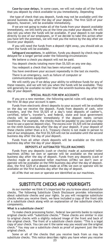**Case-by-case delays.** In some cases, we will not make all of the funds that you deposit by check available to you immediately. Depending

 the type of check that you deposit, funds may not be available until the second business day after the day of your deposit. The first \$225 of your deposits, however, will be available immediately.

If we are not going to make all of the funds from your deposit available immediately, we will notify you at the time you make your deposit. We will also tell you when the funds will be available. If your deposit is not made directly to one of our employees, or if we decide to take this action after you have left the premises, we will mail you the notice by the day after we receive your deposit.

If you will need the funds from a deposit right away, you should ask us when the funds will be available.

**Safeguard exceptions.** In addition, funds you deposit by check may be delayed for a longer period under the following circumstances:

We believe a check you deposit will not be paid.

You deposit checks totaling more than \$5,525 on any one day.

You redeposit a check that has been returned unpaid.

You have overdrawn your account repeatedly in the last six months.

There is an emergency, such as failure of computer or

communications equipment.

We will notify you if we delay your ability to withdraw funds for any of these reasons, and we will tell you when the funds will be available. They will generally be available no later than the seventh business day after the day of your deposit.

#### **SPECIAL RULES FOR NEW ACCOUNTS**

If you are a new member, the following special rules will apply during the first 30 days your account is open.

Funds from electronic direct deposits to your account will be available on the day we receive the deposit. Funds from deposits of cash, wire transfers, and the first \$5,525 of a day's total deposits of cashier's, certified, teller's, traveler's, and federal, state and local government checks will be available inmediately if the deposit meets certain conditions. on the ninth business day after the day of your deposit. If your deposit of these checks (other than a U.S. Treasury check) is not made in person to one of our employees, the first \$5,525 will not be available until the second business day after the day of your deposit.

Funds from all other check deposits will be available on the ninth business day after the day of your deposit.

#### **DEPOSITS AT AUTOMATED TELLER MACHINES**

Funds from any deposits (cash or checks) made at automated teller machines (ATMs) we own or operate will be available on the second business day after the day of deposit. Funds from any deposits (cash or checks) made at automated teller machines (ATMs) we don't own or operate will be available on the fifth business day after the day of deposit. Also, the first \$225 of a deposit made at ATMs we own or operate will be available on the first business day after the day of deposit.

All ATMs that we own or operate are identified as our machines.

# ————————————— **SUBSTITUTE CHECKS AND YOURRIGHTS**

<span id="page-23-0"></span>As our member we think it's important for you to know about substitute checks. The following Substitute Check Disclosure provides information about substitute checks and your rights. So you will recognize substitute checks when you receive them, we have included a copy of the front side of a substitute check along with an explanation of the substitute check's components.

#### **What is a substitute check?**

To make check processing faster, federal law permits banks to replace original checks with "substitute checks." These checks are similar in size to original checks with a slightly reduced image of the front and back of the original check. The front of a substitute check states: "This is a legal copy of your check. You can use it the same way you would use the original check." You may use a substitute check as proof of payment just like the original check.

Some or all of the checks that you receive back from us may be substitute checks. This notice describes rights you have when you receive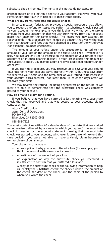#### substitute checks from us. The rights in this notice do not apply to

original checks or to electronic debits to your account. However, you have rights under other law with respect to those transactions.

#### **What are my rights regarding substitute checks?**

In certain cases, federal law provides a special procedure that allows you to request a refund for losses you suffer if a substitute check is posted to your account (for example, if you think that we withdrew the wrong amount from your account or that we withdrew money from your account more than once for the same check). The losses you may attempt to recover under this procedure may include the amount that was withdrawn from your account and fees that were charged as a result of the withdrawal (for example, bounced check fees).

The amount of your refund under this procedure is limited to the amount of your loss or the amount of the substitute check, whichever is less. You also are entitled to interest on the amount of your refund if your account is an interest-bearing account. If your loss exceeds the amount of the substitute check, you may be able to recover additional amounts under other law.

If you use this procedure, you may receive up to \$2,500 of your refund (plus interest if your account earns interest) within 10 business days after we received your claim and the remainder of your refund (plus interest if your account earns interest) not later than 45 calendar days after we received your claim.

We may reverse the refund (including any interest on the refund) if we later are able to demonstrate that the substitute check was correctly posted to your account.

#### **How do I make a claim for a refund?**

If you believe that you have suffered a loss relating to a substitute check that you received and that was posted to your account, please contact us at:

Altura Credit Union Attn: Central Operations PO Box 908 Riverside, CA 92502-0908 888-883-7228

You must contact us within 60 calendar days of the date that we mailed (or otherwise delivered by a means to which you agreed) the substitute check in question or the account statement showing that the substitute check was posted to your account, whichever is later. We will extend this time period if you were not able to make a timely claim because of extraordinary circumstances.

Your claim must include —

- A description of why you have suffered a loss (for example, you think the amount withdrawn was incorrect);
- An estimate of the amount of your loss;
- An explanation of why the substitute check you received is insufficient to confirm that you suffered a loss; and
- A copy of the substitute check or the following information to help us identify the substitute check: the check number, the amount of the check, the date of the check, and the name of the person to whom you wrote the check.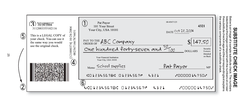# ဥ **SUBSTITUTE CHECK IMAGE ლ** ш n 帀 **CK IMAGE**

the the substitute chec thesubstitutecheckimageandthecorrespondingtextexplains listed below the listedbelowtheimagecorrespondwiththenumbersonornear Below is an various components components image of age corresp mageand a sample of a annsonce substitute ā sans substitute with the numbers on ornear stitute orrespondingtextexplains<br>itute check. check. The numbers numbers



25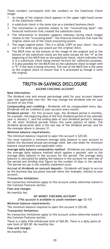These numbers correspond with the numbers on the Substitute Check Image:

- 1 An image of the original check appears in the upper right-hand corner of the substitute check.
- 2 A substitute check is the same size as a standard business check.
- 3 The information in asterisks relates to the "reconverting bank"—the financial institution that created the substitute check.
- 4 The information in brackets (appears sideways facing check image) relates to the "truncating bank"—the financial institution that took the original check out of the check processing system.
- *5* The Legal Legend states: *This is a LEGAL COPY of your check. You can use it the same way you would use the original check.*
- 6 The MICR lines at the bottom of the image of the original and at the bottom of the substitute check are the same except for the "4" at the beginning of the MICR line on the substitute check, which indicates that it is a substitute check being moved forward for collection purposes. It is also possible for the MICR line on the substitute check to begin with a "5" if the item is being returned. The rest of the MICR line is the same as the original check to ensure that it is processed as though it were the original.

# ————————————— **TRUTH-IN-SAVINGS DISCLOSURE**

**ASCEND CHECKING ACCOUNT**

#### <span id="page-26-1"></span><span id="page-26-0"></span>**Rate Information:**

The dividend rate and annual percentage yield for your account depend upon the applicable rate tier. We may change the dividend rate for your account at any time.

**Compounding and crediting -** Dividends will be compounded every day. Dividends will be credited to your account every month.

**Dividend period -** For this account type, the dividend period is monthly, for example, the beginning date of the first dividend period of the calendar year is January 1, and the ending date of such dividend period is January 31. All other dividend periods follow this same pattern of dates. The dividend declaration date is the last day of the dividend period, and for the example above is January 31.

#### **Minimum balance requirements:**

The minimum balance required to open this account is \$25.00.

You must maintain a minimum average daily balance in your account to obtain the disclosed annual percentage yield. See rate sheet for minimum balance requirements and applicable rates.

**Average daily balance computation method -** Dividends are calculated by the average daily balance method which applies a periodic rate to the average daily balance in the account for the period. The average daily balance is calculated by adding the balance in the account for each day of the period and dividing that figure by the number of days in the period. The period we use is the monthly statement cycle.

**Accrual of dividends on noncash deposits -** Dividends will begin to accrue on the business day you place noncash items (for example, checks) to your account.

#### **Transaction limitations:**

No transaction limitations apply to this account unless otherwise stated in the Common Features section.

#### **Fees and charges:**

<span id="page-26-2"></span>No monthly fee.

#### **MY MONEY CHECKING ACCOUNT**

#### **(This account is available to youth members age 12-17) Minimum balance requirements:**

The minimum balance required to open this account is \$25.00.

**Transaction limitations:**

No transaction limitations apply to this account unless otherwise stated in the Common Features section.

There is a daily ATM withdrawal limit of \$60.00. There is a daily point-of-sale limit of \$65.00. No monthly fee.

**Fees and charges:** No monthly fee.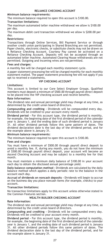#### **RELIANCE CHECKING ACCOUNT**

#### <span id="page-27-0"></span>**Minimum balance requirements:**

The minimum balance required to open this account is \$100.00.

#### **Transaction limitations:**

The maximum automated teller machine withdrawal we allow is \$100.00 per day.

The maximum debit card transaction withdrawal we allow is \$200.00 per day.

#### **Restrictions:**

Transactions through Online Services, Bill Payment Service or through another credit union participating in Shared Branching are not permitted. Paper checks, electronic checks, or substitute checks may not be drawn on a Reliance Checking Account. Courtesy Pay cannot be activated on a Reliance Checking Account. Deposits will not be accepted through an automated teller machine. Automated Clearing House withdrawals are not permitted. Outgoing and Incoming wires are not permitted.

#### **Fees and charges:**

A monthly fee will be charged each monthly statement cycle.

A paper statement processing fee will be charged monthly for each monthly statement mailed. The paper statement processing fee will not apply if you opt to received e-statements.

#### **VIP CHECKING ACCOUNT**

#### <span id="page-27-1"></span>**Limitations:**

This account is limited to our Core Select Employer Groups. Qualified members must deposit a minimum of \$500.00 through payroll direct deposit to be placed into the VIP checking account and receive benefits.

#### **Rate Information:**

The dividend rate and annual percentage yield may change at any time, as determined by the credit union board of directors.

**Compounding and crediting -** Dividends will be compounded every day. Dividends will be credited to your account every month.

**Dividend period -** For this account type, the dividend period is monthly, for example, the beginning date of the first dividend period of the calendar year is January 1, and the ending date of such dividend period is January 31. All other dividend periods follow this same pattern of dates. The dividend declaration date is the last day of the dividend period, and for the example above is January 31.

#### **Minimum balance requirements:**

The minimum balance required to open this account is \$100.00.

#### **Fees and charges:**

You must have a minimum of \$500.00 through payroll direct deposit to avoid a monthly fee. If, during any month, you do not have the minimum of \$500.00 through payroll direct deposit, your account will become an Ascend Checking Account and may be subject to a monthly fee for that month.

You must maintain a minimum daily balance of \$100.00 in your account each day to obtain the disclosed annual percentage yield.

**Daily balance computation method -** Dividends are calculated by the daily balance method which applies a daily periodic rate to the balance in the account each day.

**Accrual of dividends on noncash deposits -** Dividends will begin to accrue on the business day you place noncash items (for example, checks) to your account.

#### **Transaction limitations:**

No transaction limitations apply to this account unless otherwise stated in the Common Features section.

#### **WEALTH BUILDER CHECKING ACCOUNT**

#### <span id="page-27-2"></span>**Rate Information:**

The dividend rate and annual percentage yield may change at any time, as determined by the credit union board of directors.

**Compounding and crediting -** Dividends will be compounded every day. Dividends will be credited to your account every month.

**Dividend period -** For this account type, the dividend period is monthly, for example, the beginning date of the first dividend period of the calendar year is January 1, and the ending date of such dividend period is January 31. All other dividend periods follow this same pattern of dates. The dividend declaration date is the last day of the dividend period, and for the example above is January 31.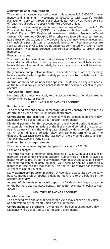#### **Minimum balance requirements:**

The minimum balance required to open this account is \$10,000.00 of new money and a minimum investment of \$50,000.00 with Altura's Wealth Management Services through our broker-dealer, CFS\*. New Money consists of funds not already on deposit with Altura Credit Union.

Non-deposit investment products and services are offered through CUSO Financial Services, L.P. ("CFS"), a registered broker-dealer (Member FINRA/SIPC) and SEC Registered Investment Advisor. Products offered through CFS: are not NCUA/NCUSIF or otherwise federally insured, are not guarantees or obligations of the credit union, and may involve investment risk including possible loss of principal. Investment Representatives are registered through CFS. The credit union has contracted with CFS to make non-deposit investment products and services available to credit union members.

#### **Fees and charges:**

You must maintain a minimum daily balance of \$10,000.00 in your account to avoid a monthly fee. If, during any month, your account balance falls below the required minimum daily balance, your account will be subject to a monthly fee.

**Daily balance computation method -** Dividends are calculated by the daily balance method which applies a daily periodic rate to the balance in the account each day.

**Accrual of dividends on noncash deposits -** Dividends will begin to accrue on the business day you place noncash items (for example, checks) to your account.

#### **Transaction limitations:**

No transaction limitations apply to this account unless otherwise stated in the Common Features section.

#### **REGULAR SHARE SAVINGS ACCOUNT**

#### <span id="page-28-0"></span>**Rate Information:**

The dividend rate and annual percentage yield may change at any time, as determined by the credit union board of directors.

**Compounding and crediting -** Dividends will be compounded every day. Dividends will be credited to your account every month.

**Dividend period -** For this account type, the dividend period is monthly, for example, the beginning date of the first dividend period of the calendar year is January 1, and the ending date of such dividend period is January 31. All other dividend periods follow this same pattern of dates. The dividend declaration date is the last day of the dividend period, and for the example above is January 31.

#### **Minimum balance requirements:**

The minimum balance required to open this account is \$25.00.

#### **Fees and charges:**

You must maintain a minimum daily balance of \$250.00 in your account or maintain a companion checking account, sub savings or a loan to avoid a monthly service fee. If, during any month, your account balance falls below the required minimum daily balance, your account will be subject to a monthly service fee for that month. This fee will be waived for members 23 years of age or younger.

**Daily balance computation method -** Dividends are calculated by the daily balance method which applies a daily periodic rate to the balance in the account each day.

**Accrual of dividends on noncash deposits -** Dividends will begin to accrue on the business day you place noncash items (for example, checks) to your account.

#### **HEALTHCARE SAVINGS ACCOUNT**

#### <span id="page-28-1"></span>**Rate Information:**

The dividend rate and annual percentage yield may change at any time, as determined by the credit union board of directors.

**Compounding and crediting -** Dividends will be compounded every day. Dividends will be credited to your account every month.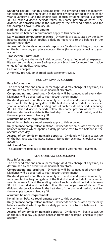**Dividend period -** For this account type, the dividend period is monthly, for example, the beginning date of the first dividend period of the calendar year is January 1, and the ending date of such dividend period is January 31. All other dividend periods follow this same pattern of dates. The dividend declaration date is the last day of the dividend period, and for the example above is January 31.

#### **Minimum balance requirements:**

No minimum balance requirements apply to this account.

**Daily balance computation method -** Dividends are calculated by the daily balance method which applies a daily periodic rate to the balance in the account each day.

**Accrual of dividends on noncash deposits -** Dividends will begin to accrue on the business day you place noncash items (for example, checks) to your account.

#### **Transaction limitations:**

You may only use the funds in this account for qualified medical expenses. Please see the Healthcare Savings Account brochure for more information on qualified medical expenses.

#### **Fees and charges:**

<span id="page-29-0"></span>A monthly fee will be charged each statement cycle.

#### **HOLIDAY SAVINGS ACCOUNT**

#### **Rate Information:**

The dividend rate and annual percentage yield may change at any time, as determined by the credit union board of directors.

**Compounding and crediting -** Dividends will be compounded every day. Dividends will be credited to your account every month.

**Dividend period -** For this account type, the dividend period is monthly, for example, the beginning date of the first dividend period of the calendar year is January 1, and the ending date of such dividend period is January 31. All other dividend periods follow this same pattern of dates. The dividend declaration date is the last day of the dividend period, and for the example above is January 31.

#### **Minimum balance requirements:**

No minimum balance requirements apply to this account.

**Daily balance computation method -** Dividends are calculated by the daily balance method which applies a daily periodic rate to the balance in the account each day.

**Accrual of dividends on noncash deposits -** Dividends will begin to accrue on the business day you place noncash items (for example, checks) to your account.

**Additional Features:**

<span id="page-29-1"></span>This account is paid out to the member once a year in mid-November.

#### **SIDE SHARE SAVINGS ACCOUNT**

#### **Rate Information:**

The dividend rate and annual percentage yield may change at any time, as determined by the credit union board of directors.

**Compounding and crediting -** Dividends will be compounded every day. Dividends will be credited to your account every month.

**Dividend period -** For this account type, the dividend period is monthly, for example, the beginning date of the first dividend period of the calendar year is January 1, and the ending date of such dividend period is January 31. All other dividend periods follow this same pattern of dates. The dividend declaration date is the last day of the dividend period, and for the example above is January 31.

#### **Minimum balance requirements:**

No minimum balance requirements apply to this account.

**Daily balance computation method -** Dividends are calculated by the daily balance method which applies a daily periodic rate to the balance in the account each day.

**Accrual of dividends on noncash deposits -** Dividends will begin to accrue on the business day you place noncash items (for example, checks) to your account.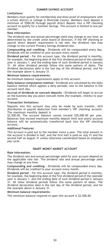#### **SUMMER SAVINGS ACCOUNT**

#### <span id="page-30-0"></span>**Limitations:**

Members must qualify for membership and show proof of employment with a school district or college in Riverside County. Members must deposit a minimum of \$500.00 through payroll direct deposit into a VIP checking account to qualify for a Summer Savings. This account is limited to one per member.

#### **Rate Information:**

The dividend rate and annual percentage yield may change at any time, as determined by the credit union board of directors. If the VIP checking or payroll direct deposit requirement is not met, the dividend rate may change to the current Primary Savings dividend rate.

**Compounding and crediting -** Dividends will be compounded every day. Dividends will be credited to your account every month.

**Dividend period -** For this account type, the dividend period is monthly, for example, the beginning date of the first dividend period of the calendar year is January 1, and the ending date of such dividend period is January 31. All other dividend periods follow this same pattern of dates. The dividend declaration date is the last day of the dividend period, and for the example above is January 31.

#### **Minimum balance requirements:**

No minimum balance requirements apply to this account.

**Daily balance computation method -** Dividends are calculated by the daily balance method which applies a daily periodic rate to the balance in the account each day.

**Accrual of dividends on noncash deposits -** Dividends will begin to accrue on the business day you place noncash items (for example, checks) to your account.

#### **Transaction limitations:**

Deposits into this account may only be made by auto transfer, ACH distribution or payroll deduction from member's VIP checking account. The maximum monthly deposit is

\$2,500.00. The account balance cannot exceed \$25,000.00 per year. Balances that exceed maximum monthly deposit limit and yearly account balance will be automatically transferred back into the VIP checking account.

#### **Additional Features:**

This account is paid out to the member twice a year. The total amount in the account is divided in half, and the first half is paid on July 31 and the second half on August 31 unless otherwise coordinated based on employer pay cycle.

#### **SMART MONEY MARKET ACCOUNT**

#### <span id="page-30-1"></span>**Rate Information:**

The dividend rate and annual percentage yield for your account depend on the applicable rate tier. The dividend rate and annual percentage yield may change at any time.

**Compounding and crediting -** Dividends will be compounded every day. Dividends will be credited to your account every month.

**Dividend period -** For this account type, the dividend period is monthly, for example, the beginning date of the first dividend period of the calendar year is January 1, and the ending date of such dividend period is January 31. All other dividend periods follow this same pattern of dates. The dividend declaration date is the last day of the dividend period, and for the example above is January 31.

**Minimum balance requirements:**

The minimum balance required to open this account is \$2,500.00.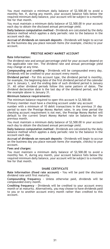You must maintain a minimum daily balance of \$2,500.00 to avoid a monthly fee. If, during any month, your account balance falls below the required minimum daily balance, your account will be subject to a monthly fee for that month.

You must maintain a minimum daily balance of \$2,500.00 in your account each day to obtain the disclosed annual percentage yield.

**Daily balance computation method -** Dividends are calculated by the daily balance method which applies a daily periodic rate to the balance in the account each day.

**Accrual of dividends on noncash deposits -** Dividends will begin to accrue on the business day you place noncash items (for example, checks) to your account.

#### **PRESTIGE MONEY MARKET ACCOUNT**

#### <span id="page-31-0"></span>**Rate Information:**

The dividend rate and annual percentage yield for your account depend on the applicable rate tier. The dividend rate and annual percentage yield may change at any time.

**Compounding and crediting -** Dividends will be compounded every day. Dividends will be credited to your account every month.

**Dividend period -** For this account type, the dividend period is monthly, for example, the beginning date of the first dividend period of the calendar year is January 1, and the ending date of such dividend period is January 31. All other dividend periods follow this same pattern of dates. The dividend declaration date is the last day of the dividend period, and for the example above is January 31.

#### **Minimum balance requirements:**

The minimum balance required to open this account is \$2,500.00.

Primary member must have a checking account under any account

number with a minimum of 10 debit transactions in the previous 31 day period to earn the Prestige Money Market rates. In any time period the checking account requirement is not met, the Prestige Money Market will default to the current Smart Money Market rate on balances for the previous month.

You must maintain a minimum daily balance of \$2,500.00 in your account each day to obtain the disclosed annual percentage yield.

**Daily balance computation method -** Dividends are calculated by the daily balance method which applies a daily periodic rate to the balance in the account each day.

**Accrual of dividends on noncash deposits -** Dividends will begin to accrue on the business day you place noncash items (for example, checks) to your account.

#### **Fees and charges:**

You must maintain a minimum daily balance of \$2,500.00 to avoid a monthly fee. If, during any month, your account balance falls below the required minimum daily balance, your account will be subject to a monthly fee for that month.

#### **SHARE CERTIFICATE**

<span id="page-31-1"></span>**Rate Information (fixed rate account) -** You will be paid the disclosed dividend rate until first maturity.

**Compounding frequency -** Unless otherwise paid, dividends will be compounded every month.

**Crediting frequency -** Dividends will be credited to your account every month or at maturity. Alternatively, you may choose to have dividends paid to you or to another account every month rather than credited to this account.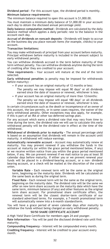**Dividend period -** For this account type, the dividend period is monthly. **Minimum balance requirements:**

The minimum balance required to open this account is \$1,000.00.

You must maintain a minimum daily balance of \$1,000.00 in your account each day to obtain the disclosed annual percentage yield.

**Daily balance computation method -** Dividends are calculated by the daily balance method which applies a daily periodic rate to the balance in the account each day.

**Accrual of dividends on noncash deposits -** Dividends will begin to accrue on the business day you place noncash items (for example, checks) to your account.

#### **Transaction limitations:**

You may make withdrawals of principal from your account before maturity. Principal withdrawn before maturity is included in the amount subject to early withdrawal penalty.

You can withdraw dividends accrued in the term before maturity of that term without penalty. You can withdraw dividends anytime during the term of crediting after they are credited to your account.

**Time requirements -** Your account will mature at the end of the term selected.

**Early withdrawal penalties** (a penalty may be imposed for withdrawals before maturity) -

- If your account has an original maturity of 12 months orless: The penalty we may impose will equal 90 days' or all dividends earned since the date of issuance or renewal, whichever is less.
- If your account has an original maturity of more than 12months:

The penalty we may impose will equal 180 days' or all dividends earned since the date of issuance or renewal, whichever is less.

In certain circumstances such as the death or incompetence of an owner of this account, the law permits, or in some cases requires, the waiver of the early withdrawal penalty. Other exceptions may also apply, for example, if this is part of an IRA or other tax-deferred savings plan.

For any account which earns a dividend rate that may vary from time to time during the term, the dividend rate we will use to calculate this early withdrawal penalty will be the dividend rate in effect at the time of the withdrawal.

**Withdrawal of dividends prior to maturity -** The annual percentage yield is based on an assumption that dividends will remain in the account until maturity. A withdrawal will reduce earnings.

**Automatically renewable account -** Account may automatically renew at maturity. You may prevent renewal if you withdraw the funds in the account at maturity (or within the grace period mentioned below, if any) or we receive written notice from you within the grace period mentioned below, if any. We can prevent renewal if we mail notice to you at least 30 calendar days before maturity. If either you or we prevent renewal your funds will be placed in a dividend-bearing account, or a non- dividend bearing account, or a check will be mailed at the discretion of the credit union.

**Variable Rate -** Each renewal term will be the same as the original term, beginning on the maturity date. Dividends will be calculated on the same basis as during the original term.

**Fixed Rate -** Each renewal term will be the same as the original term, beginning on the maturity date. The dividend rate will be the same we offer on new term share accounts on the maturity date which have the same term, minimum balance (if any) and other features as the original term share account. For promotional share certificate offers, the renewal term will be the closest shorter-term certificate of our standard advertised terms. For example, a 7-month promotional term will automatically renew into a 6-month standardterm.

You will have a grace period of seven calendar days after maturity to withdraw the funds without being charged an early withdrawal penalty. **50/50 SHARE CERTIFICATE ACCOUNT**

<span id="page-32-0"></span>A High Yield Share Certificate for members ages 24 and younger.

**Rate Information -** You will be paid the disclosed dividend rate until first maturity.

**Compounding frequency -** Interest will be compounded every month. **Crediting frequency -** Interest will be credited to your account every month.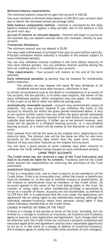#### **Minimum balance requirements:**

The minimum balance required to open this account is \$50.00.

You must maintain a minimum daily balance of \$50.00 in your account each day to obtain the disclosed annual percentage yield.

**Daily balance computation method -** Interest is calculated by the daily balance method which applies a daily periodic rate to the balance in the account each day.

**Accrual of interest on noncash deposits -** Interest will begin to accrue on the business day you deposit noncash items (for example, checks) to your account.

#### **Transaction limitations:**

The minimum amount you can deposit is \$5.00.

You may make withdrawals of principal from your account before maturity. Principal withdrawn before maturity is included in the amount subject to early withdrawal penalty.

You can only withdraw interest credited in the term before maturity of that term without penalty. You can withdraw interest anytime during the term of crediting after it is credited to your account.

**Time requirements -** Your account will mature at the end of the term selected.

**Early withdrawal penalties** (a penalty may be imposed for withdrawals before maturity) -

The penalty we may impose will equal 90 days dividends or all dividends earned since date issuance, whichever is less.

In certain circumstances such as the death or incompetence of an owner of this account, the law permits, or in some cases requires, the waiver of the early withdrawal penalty. Other exceptions may also apply, for example, if this is part of an IRA or other tax-deferred savings plan.

**Automatically renewable account -** Account may automatically renew at maturity. You may prevent renewal if you withdraw the funds in the account at maturity (or within the grace period mentioned below, if any) or we receive written notice from you within the grace period mentioned below, if any. We can prevent renewal if we mail notice to you at least 30 calendar days before maturity. If either you or we prevent renewal, your funds will be placed in a dividend bearing account, or a non-dividend bearing account, or a check will be mailed at the discretion of the credit union.

Each renewal term will be the same as the original term, beginning on the maturity date. The interest rate will be the same we offer on new term accounts on the maturity date which have the same term, minimum balance (if any) and other features as the original term account.

You will have a grace period of seven calendar days after maturity to withdraw the funds without being charged an early withdrawal penalty.

#### **LIVING TRUST ACCOUNTS**

<span id="page-33-0"></span>**The Credit Union has not received a copy of the Trust Instrument and shall in no event be liable for its contents.** Trustee(s) and not the Credit Union assume full responsibility for enforcing the provisions of the Trust Instrument.

#### MEMBERSHIP REQUIREMENTS

If this is a revocable trust, one or more trustor(s) is/are member(s) of the Credit Union. If this is an irrevocable trust, either the trustor or beneficiary must be members or, in the case of multiple trustors or beneficiaries, all the trustors or beneficiaries must be members of the Credit Union. All accounts opened in the name of the trust belong solely to the trust. No transfer of voting rights or other membership privilege is permitted by virtue of a transfer of shares. Accounts are not transferable, as defined in 12 CFR Part 204. It is understood that the trust under the Application and Agreement has no voting rights at any membership meeting, although the individual member/trustor(s) retain their personal voting rights if they retain individual membership at the Credit Union.

CHANGE IN PARTIES OR TERMS OF THE TRUST

If there is a change in the parties or terms of the trust, including, but not limited to, a change in trustor(s) or trustee(s), all trustor(s) and trustee(s) agree to execute a new Application and Agreement. Such change shall not be effective until the Credit Union has received a properly completed and executed Application and Agreement and has had a reasonable opportunity to act on it. In the event of a change of address of trustor(s)/trustee(s), the trustee(s) agree to notify the Credit Union promptly of such change(s).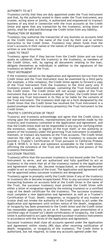#### AUTHORITY TO ACT

Trustee(s) certify that they are duly appointed under the Trust Instrument and that, by the authority vested in them under the Trust Instrument, any trustee, acting alone or jointly, is authorized and empowered to transact business of any kind in connection with the trust accounts at the Credit Union and agree that any transaction by the trustee(s), acting alone or jointly, shall be valid and discharge the Credit Union from any liability.

#### TRANSACTION OF BUSINESS

Trustee(s) may authorize the transaction of any business on accounts held at the Credit Union in the name of the trust by their oral or written instruction to the Credit Union. Trustee(s) may obtain funds from the trust's accounts in their names or the names of third parties upon trustee's written or oral instruction.

#### LOANS TO TRUST

Trustee(s) agree that if they borrow from the Credit Union and use trust assets as collateral, then the trustor(s) or the trustee(s), as members of the Credit Union, will, by signing all documents relating to the loan, obligate themselves as individuals in addition to the signatures of the trustee(s) on behalf of the Trust.

#### TRUST INSTRUMENT

If the trustee(s) named on the Application and Agreement borrow from the Credit Union and the Trust Instrument must be examined by a third party (for example, a title company), the Credit Union agrees to forward a copy of the Trust Instrument from the trustee(s) to the third party only if trustee(s) present a sealed envelope, containing the Trust Instrument to the Credit Union. The Credit Union will not accept copies of the Trust Instrument that are not in a sealed envelope. Further, the Credit Union will not keep any Trust Instrument in its files or be liable for the contents of the Trust Instrument. The trustee(s) shall sign on a form designated by the Credit Union that the Credit Union has received the Trust Instrument in a sealed envelope when the trustee(s) present(s) the Trust Instrument to the Credit Union.

#### TRUSTEE'S CERTIFICATION OF TRUST

Trustor(s) and trustee(s) acknowledge and agree that the Credit Union is relying upon the statements, representations and warranties made by the trustor(s) and trustee(s) contained in the Application and Agreement, and that the Credit Union shall not be responsible in any way for verifying either the existence, validity, or legality of the trust itself, or the authority or powers of the trustee(s) under the governing Trust Instrument to establish, maintain, or transact any business on the Trust accounts. The Credit Union reserves the right at any time to require the trustee(s) to execute and provide a Trustee's Certification of Trust pursuant to California Probate Code § 18100.5, in form and substance acceptable to the Credit Union, affirming the existence of the Trust and the authority and powers of the trustee(s) thereunder.

#### SUCCESSOR TRUSTEES

Trustee(s) affirm that the successor trustee(s) is/are bound under the Trust Instrument to serve, and are authorized and fully qualified to act as trustee(s) in the event that all of the trustee(s) named in the Application and Agreement resign, die, become incapacitated, or otherwise become unable to act as trustee(s) of the trust. The Application and Agreement will not be approved unless successor trustee(s) are designated.

Trustee(s) agree to promptly notify the Credit Union if any of the trustor(s) or trustee(s) die or become incapacitated. Prior to any successor trustee(s) transacting business on accounts held at the Credit Union in the name of the Trust, the successor trustee(s) must provide the Credit Union with either a letter of resignation signed by the existing trustee(s) or a certified copy of the death certificate for the trustee(s). The successor trustee(s) must complete a new Application and Agreement as well as a Trustee's Certification of Trust. Death, resignation, or incapacity of any trustee or trustor shall not revoke the authority of the Credit Union to act under the Application and Agreement until written notice of the death, resignation, or incapacity has been presented to the Credit Union and the Credit Union has reasonable opportunity to act on it. However, upon presentation of a certified copy of trustee's(s') death certificate(s) of incapacity, the Credit Union is authorized to act upon designated successor trustee(s) instruments in accordance with the terms of the Application and Agreement.

Successor trustee(s) shall close all accounts opened under the Application and Agreement within ninety (90) days after receiving notification of death, resignation, or incapacity of the trustee(s). The Credit Union is authorized, but not required, to close any accounts opened under the